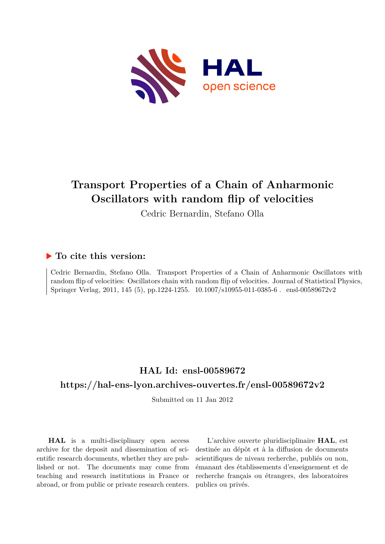

# **Transport Properties of a Chain of Anharmonic Oscillators with random flip of velocities**

Cedric Bernardin, Stefano Olla

### **To cite this version:**

Cedric Bernardin, Stefano Olla. Transport Properties of a Chain of Anharmonic Oscillators with random flip of velocities: Oscillators chain with random flip of velocities. Journal of Statistical Physics, Springer Verlag, 2011, 145 (5), pp.1224-1255. 10.1007/s10955-011-0385-6 . ensl-00589672v2

## **HAL Id: ensl-00589672 <https://hal-ens-lyon.archives-ouvertes.fr/ensl-00589672v2>**

Submitted on 11 Jan 2012

**HAL** is a multi-disciplinary open access archive for the deposit and dissemination of scientific research documents, whether they are published or not. The documents may come from teaching and research institutions in France or abroad, or from public or private research centers.

L'archive ouverte pluridisciplinaire **HAL**, est destinée au dépôt et à la diffusion de documents scientifiques de niveau recherche, publiés ou non, émanant des établissements d'enseignement et de recherche français ou étrangers, des laboratoires publics ou privés.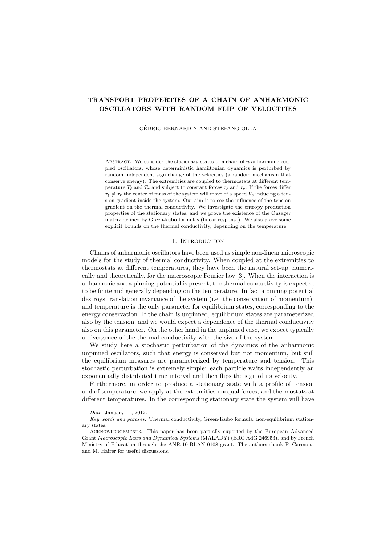### TRANSPORT PROPERTIES OF A CHAIN OF ANHARMONIC OSCILLATORS WITH RANDOM FLIP OF VELOCITIES

CEDRIC BERNARDIN AND STEFANO OLLA ´

ABSTRACT. We consider the stationary states of a chain of n anharmonic coupled oscillators, whose deterministic hamiltonian dynamics is perturbed by random independent sign change of the velocities (a random mechanism that conserve energy). The extremities are coupled to thermostats at different temperature  $T_{\ell}$  and  $T_r$  and subject to constant forces  $\tau_{\ell}$  and  $\tau_r$ . If the forces differ  $\tau_{\ell} \neq \tau_r$  the center of mass of the system will move of a speed  $V_s$  inducing a tension gradient inside the system. Our aim is to see the influence of the tension gradient on the thermal conductivity. We investigate the entropy production properties of the stationary states, and we prove the existence of the Onsager matrix defined by Green-kubo formulas (linear response). We also prove some explicit bounds on the thermal conductivity, depending on the temperature.

#### 1. INTRODUCTION

Chains of anharmonic oscillators have been used as simple non-linear microscopic models for the study of thermal conductivity. When coupled at the extremities to thermostats at different temperatures, they have been the natural set-up, numerically and theoretically, for the macroscopic Fourier law [3]. When the interaction is anharmonic and a pinning potential is present, the thermal conductivity is expected to be finite and generally depending on the temperature. In fact a pinning potential destroys translation invariance of the system (i.e. the conservation of momentum), and temperature is the only parameter for equilibrium states, corresponding to the energy conservation. If the chain is unpinned, equilibrium states are parameterized also by the tension, and we would expect a dependence of the thermal conductivity also on this parameter. On the other hand in the unpinned case, we expect typically a divergence of the thermal conductivity with the size of the system.

We study here a stochastic perturbation of the dynamics of the anharmonic unpinned oscillators, such that energy is conserved but not momentum, but still the equilibrium measures are parameterized by temperature and tension. This stochastic perturbation is extremely simple: each particle waits independently an exponentially distributed time interval and then flips the sign of its velocity.

Furthermore, in order to produce a stationary state with a profile of tension and of temperature, we apply at the extremities unequal forces, and thermostats at different temperatures. In the corresponding stationary state the system will have

Date: January 11, 2012.

Key words and phrases. Thermal conductivity, Green-Kubo formula, non-equilibrium stationary states.

Acknowledgements. This paper has been partially suported by the European Advanced Grant Macroscopic Laws and Dynamical Systems (MALADY) (ERC AdG 246953), and by French Ministry of Education through the ANR-10-BLAN 0108 grant. The authors thank P. Carmona and M. Hairer for useful discussions.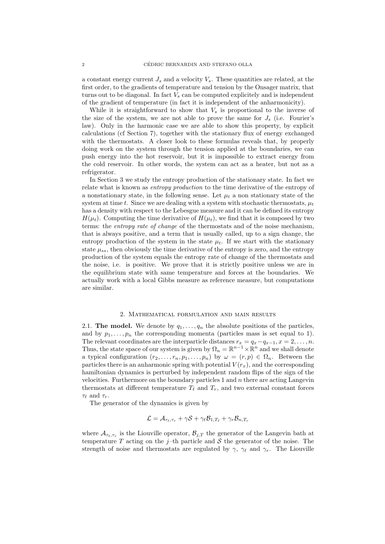a constant energy current  $J_s$  and a velocity  $V_s$ . These quantities are related, at the first order, to the gradients of temperature and tension by the Onsager matrix, that turns out to be diagonal. In fact  $V_s$  can be computed explicitely and is independent of the gradient of temperature (in fact it is independent of the anharmonicity).

While it is straightforward to show that  $V<sub>s</sub>$  is proportional to the inverse of the size of the system, we are not able to prove the same for  $J_s$  (i.e. Fourier's law). Only in the harmonic case we are able to show this property, by explicit calculations (cf Section 7), together with the stationary flux of energy exchanged with the thermostats. A closer look to these formulas reveals that, by properly doing work on the system through the tension applied at the boundaries, we can push energy into the hot reservoir, but it is impossible to extract energy from the cold reservoir. In other words, the system can act as a heater, but not as a refrigerator.

In Section 3 we study the entropy production of the stationary state. In fact we relate what is known as entropy production to the time derivative of the entropy of a nonstationary state, in the following sense. Let  $\mu_t$  a non stationary state of the system at time t. Since we are dealing with a system with stochastic thermostats,  $u_t$ has a density with respect to the Lebesgue measure and it can be defined its entropy  $H(\mu_t)$ . Computing the time derivative of  $H(\mu_t)$ , we find that it is composed by two terms: the *entropy rate of change* of the thermostats and of the noise mechanism, that is always positive, and a term that is usually called, up to a sign change, the entropy production of the system in the state  $\mu_t$ . If we start with the stationary state  $\mu_{ss}$ , then obviously the time derivative of the entropy is zero, and the entropy production of the system equals the entropy rate of change of the thermostats and the noise, i.e. is positive. We prove that it is strictly positive unless we are in the equilibrium state with same temperature and forces at the boundaries. We actually work with a local Gibbs measure as reference measure, but computations are similar.

#### 2. Mathematical formulation and main results

2.1. The model. We denote by  $q_1, \ldots, q_n$  the absolute positions of the particles, and by  $p_1, \ldots, p_n$  the corresponding momenta (particles mass is set equal to 1). The relevant coordinates are the interparticle distances  $r_x = q_x - q_{x-1}, x = 2, \ldots, n$ . Thus, the state space of our system is given by  $\Omega_n = \mathbb{R}^{n-1} \times \mathbb{R}^n$  and we shall denote a typical configuration  $(r_2, \ldots, r_n, p_1, \ldots, p_n)$  by  $\omega = (r, p) \in \Omega_n$ . Between the particles there is an anharmonic spring with potential  $V(r_x)$ , and the corresponding hamiltonian dynamics is perturbed by independent random flips of the sign of the velocities. Furthermore on the boundary particles 1 and  $n$  there are acting Langevin thermostats at different temperature  $T_{\ell}$  and  $T_r$ , and two external constant forces  $\tau_{\ell}$  and  $\tau_{r}$ .

The generator of the dynamics is given by

$$
\mathcal{L} = \mathcal{A}_{\tau_{\ell}, \tau_{r}} + \gamma \mathcal{S} + \gamma_{\ell} \mathcal{B}_{1, T_{\ell}} + \gamma_{r} \mathcal{B}_{n, T_{r}}
$$

where  $\mathcal{A}_{\tau_{\ell},\tau_r}$  is the Liouville operator,  $\mathcal{B}_{j,T}$  the generator of the Langevin bath at temperature  $T$  acting on the j-th particle and  $S$  the generator of the noise. The strength of noise and thermostats are regulated by  $\gamma$ ,  $\gamma_{\ell}$  and  $\gamma_{r}$ . The Liouville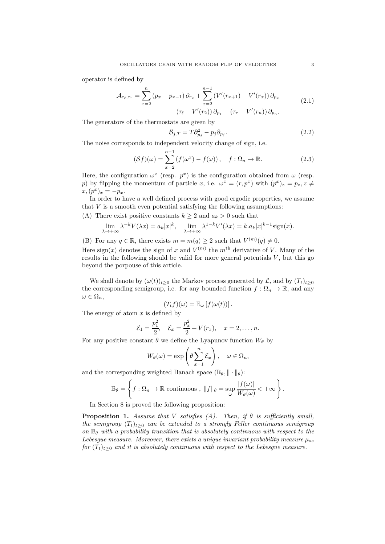operator is defined by

$$
\mathcal{A}_{\tau_{\ell},\tau_{r}} = \sum_{x=2}^{n} (p_{x} - p_{x-1}) \partial_{r_{x}} + \sum_{x=2}^{n-1} (V'(r_{x+1}) - V'(r_{x})) \partial_{p_{x}} - (\tau_{\ell} - V'(r_{2})) \partial_{p_{1}} + (\tau_{r} - V'(r_{n})) \partial_{p_{n}}.
$$
\n(2.1)

The generators of the thermostats are given by

$$
\mathcal{B}_{j,T} = T \partial_{p_j}^2 - p_j \partial_{p_j}.
$$
\n(2.2)

The noise corresponds to independent velocity change of sign, i.e.

$$
(\mathcal{S}f)(\omega) = \sum_{x=2}^{n-1} \left( f(\omega^x) - f(\omega) \right), \quad f: \Omega_n \to \mathbb{R}.
$$
 (2.3)

Here, the configuration  $\omega^x$  (resp.  $p^x$ ) is the configuration obtained from  $\omega$  (resp. p) by flipping the momentum of particle x, i.e.  $\omega^x = (r, p^x)$  with  $(p^x)_z = p_z, z \neq 0$  $x, (p^x)_x = -p_x.$ 

In order to have a well defined process with good ergodic properties, we assume that  $V$  is a smooth even potential satisfying the following assumptions:

(A) There exist positive constants  $k \geq 2$  and  $a_k > 0$  such that

$$
\lim_{\lambda \to +\infty} \lambda^{-k} V(\lambda x) = a_k |x|^k, \quad \lim_{\lambda \to +\infty} \lambda^{1-k} V'(\lambda x) = k.a_k |x|^{k-1} \text{sign}(x).
$$

(B) For any  $q \in \mathbb{R}$ , there exists  $m = m(q) \ge 2$  such that  $V^{(m)}(q) \ne 0$ .

Here sign(x) denotes the sign of x and  $V^{(m)}$  the  $m<sup>th</sup>$  derivative of V. Many of the results in the following should be valid for more general potentials  $V$ , but this go beyond the porpouse of this article.

We shall denote by  $(\omega(t))_{t\geq0}$  the Markov process generated by  $\mathcal{L}$ , and by  $(T_t)_{t\geq0}$ the corresponding semigroup, i.e. for any bounded function  $f: \Omega_n \to \mathbb{R}$ , and any  $\omega \in \Omega_n$ ,

$$
(T_t f)(\omega) = \mathbb{E}_{\omega} [f(\omega(t))].
$$

The energy of atom  $x$  is defined by

$$
\mathcal{E}_1 = \frac{p_1^2}{2}, \quad \mathcal{E}_x = \frac{p_x^2}{2} + V(r_x), \quad x = 2, \dots, n.
$$

For any positive constant  $\theta$  we define the Lyapunov function  $W_{\theta}$  by

$$
W_{\theta}(\omega) = \exp\left(\theta \sum_{x=1}^{n} \mathcal{E}_x\right), \quad \omega \in \Omega_n,
$$

and the corresponding weighted Banach space  $(\mathbb{B}_{\theta}, \|\cdot\|_{\theta})$ :

$$
\mathbb{B}_{\theta} = \left\{ f : \Omega_n \to \mathbb{R} \text{ continuous }, ||f||_{\theta} = \sup_{\omega} \frac{|f(\omega)|}{W_{\theta}(\omega)} < +\infty \right\}.
$$

In Section 8 is proved the following proposition:

**Proposition 1.** Assume that V satisfies (A). Then, if  $\theta$  is sufficiently small, the semigroup  $(T_t)_{t>0}$  can be extended to a strongly Feller continuous semigroup on  $\mathbb{B}_{\theta}$  with a probability transition that is absolutely continuous with respect to the Lebesgue measure. Moreover, there exists a unique invariant probability measure  $\mu_{ss}$ for  $(T_t)_{t>0}$  and it is absolutely continuous with respect to the Lebesgue measure.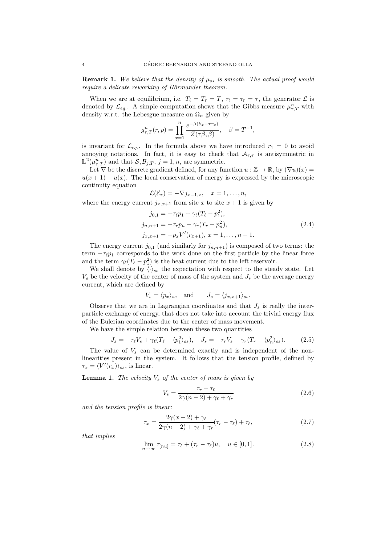**Remark 1.** We believe that the density of  $\mu_{ss}$  is smooth. The actual proof would require a delicate reworking of Hörmander theorem.

When we are at equilibrium, i.e.  $T_{\ell} = T_r = T$ ,  $\tau_{\ell} = \tau_r = \tau$ , the generator  $\mathcal{L}$  is denoted by  $\mathcal{L}_{eq}$ . A simple computation shows that the Gibbs measure  $\mu_{\tau,T}^n$  with density w.r.t. the Lebesgue measure on  $\Omega_n$  given by

$$
g_{\tau,T}^n(r,p) = \prod_{x=1}^n \frac{e^{-\beta(\mathcal{E}_x - \tau r_x)}}{Z(\tau \beta, \beta)}, \quad \beta = T^{-1},
$$

is invariant for  $\mathcal{L}_{eq.}$ . In the formula above we have introduced  $r_1 = 0$  to avoid annoying notations. In fact, it is easy to check that  $\mathcal{A}_{\tau,\tau}$  is antisymmetric in  $\mathbb{L}^2(\mu_{\tau,T}^n)$  and that  $S, \mathcal{B}_{j,T}, j = 1, n$ , are symmetric.

Let  $\nabla$  be the discrete gradient defined, for any function  $u : \mathbb{Z} \to \mathbb{R}$ , by  $(\nabla u)(x) =$  $u(x + 1) - u(x)$ . The local conservation of energy is expressed by the microscopic continuity equation

$$
\mathcal{L}(\mathcal{E}_x) = -\nabla j_{x-1,x}, \quad x = 1,\ldots,n,
$$

where the energy current  $j_{x,x+1}$  from site x to site  $x+1$  is given by

$$
j_{0,1} = -\tau_{\ell} p_1 + \gamma_{\ell} (T_{\ell} - p_1^2),
$$
  
\n
$$
j_{n,n+1} = -\tau_r p_n - \gamma_r (T_r - p_n^2),
$$
  
\n
$$
j_{x,x+1} = -p_x V'(r_{x+1}), x = 1, ..., n-1.
$$
\n(2.4)

The energy current  $j_{0,1}$  (and similarly for  $j_{n,n+1}$ ) is composed of two terms: the term  $-\tau_{\ell}p_1$  corresponds to the work done on the first particle by the linear force and the term  $\gamma_{\ell}(T_{\ell} - p_1^2)$  is the heat current due to the left reservoir.

We shall denote by  $\langle \cdot \rangle_{ss}$  the expectation with respect to the steady state. Let  $V<sub>s</sub>$  be the velocity of the center of mass of the system and  $J<sub>s</sub>$  be the average energy current, which are defined by

$$
V_s = \langle p_x \rangle_{ss} \quad \text{and} \quad J_s = \langle j_{x,x+1} \rangle_{ss}.
$$

Observe that we are in Lagrangian coordinates and that  $J_s$  is really the interparticle exchange of energy, that does not take into account the trivial energy flux of the Eulerian coordinates due to the center of mass movement.

We have the simple relation between these two quantities

$$
J_s = -\tau_\ell V_s + \gamma_\ell (T_\ell - \langle p_1^2 \rangle_{ss}), \quad J_s = -\tau_r V_s - \gamma_r (T_r - \langle p_n^2 \rangle_{ss}). \tag{2.5}
$$

The value of  $V_s$  can be determined exactly and is independent of the nonlinearities present in the system. It follows that the tension profile, defined by  $\tau_x = \langle V'(r_x) \rangle_{ss}$ , is linear.

**Lemma 1.** The velocity  $V_s$  of the center of mass is given by

$$
V_s = \frac{\tau_r - \tau_\ell}{2\gamma(n-2) + \gamma_\ell + \gamma_r} \tag{2.6}
$$

and the tension profile is linear:

$$
\tau_x = \frac{2\gamma(x-2) + \gamma_\ell}{2\gamma(n-2) + \gamma_\ell + \gamma_r} (\tau_r - \tau_\ell) + \tau_\ell,
$$
\n(2.7)

that implies

$$
\lim_{n \to \infty} \tau_{[nu]} = \tau_{\ell} + (\tau_r - \tau_{\ell})u, \quad u \in [0, 1]. \tag{2.8}
$$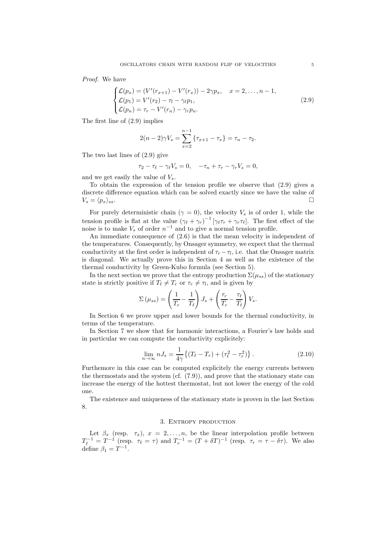Proof. We have

$$
\begin{cases}\n\mathcal{L}(p_x) = (V'(r_{x+1}) - V'(r_x)) - 2\gamma p_x, & x = 2, \dots, n-1, \\
\mathcal{L}(p_1) = V'(r_2) - \tau_l - \gamma_\ell p_1, \\
\mathcal{L}(p_n) = \tau_r - V'(r_n) - \gamma_r p_n.\n\end{cases}
$$
\n(2.9)

The first line of (2.9) implies

$$
2(n-2)\gamma V_s = \sum_{x=2}^{n-1} \{ \tau_{x+1} - \tau_x \} = \tau_n - \tau_2.
$$

The two last lines of (2.9) give

$$
\tau_2 - \tau_\ell - \gamma_\ell V_s = 0, \quad -\tau_n + \tau_r - \gamma_r V_s = 0,
$$

and we get easily the value of  $V_s$ .

To obtain the expression of the tension profile we observe that (2.9) gives a discrete difference equation which can be solved exactly since we have the value of  $V_s = \langle p_x \rangle_{ss}.$ 

For purely deterministic chain ( $\gamma = 0$ ), the velocity  $V_s$  is of order 1, while the tension profile is flat at the value  $(\gamma_{\ell} + \gamma_{r})^{-1} [\gamma_{\ell} \tau_r + \gamma_{r} \tau_{\ell}]$ . The first effect of the noise is to make  $V_s$  of order  $n^{-1}$  and to give a normal tension profile.

An immediate consequence of (2.6) is that the mean velocity is independent of the temperatures. Consequently, by Onsager symmetry, we expect that the thermal conductivity at the first order is independent of  $\tau_r - \tau_l$ , i.e. that the Onsager matrix is diagonal. We actually prove this in Section 4 as well as the existence of the thermal conductivity by Green-Kubo formula (see Section 5).

In the next section we prove that the entropy production  $\Sigma(\mu_{ss})$  of the stationary state is strictly positive if  $T_{\ell} \neq T_r$  or  $\tau_r \neq \tau_l$ , and is given by

$$
\Sigma(\mu_{ss}) = \left(\frac{1}{T_r} - \frac{1}{T_{\ell}}\right)J_s + \left(\frac{\tau_r}{T_r} - \frac{\tau_{\ell}}{T_{\ell}}\right)V_s.
$$

In Section 6 we prove upper and lower bounds for the thermal conductivity, in terms of the temperature.

In Section 7 we show that for harmonic interactions, a Fourier's law holds and in particular we can compute the conductivity explicitely:

$$
\lim_{n \to \infty} n J_s = \frac{1}{4\gamma} \{ (T_\ell - T_r) + (\tau_\ell^2 - \tau_r^2) \}.
$$
\n(2.10)

Furthemore in this case can be computed explicitely the energy currents between the thermostats and the system (cf. (7.9)), and prove that the stationary state can increase the energy of the hottest thermostat, but not lower the energy of the cold one.

The existence and uniqueness of the stationary state is proven in the last Section 8.

#### 3. Entropy production

Let  $\beta_x$  (resp.  $\tau_x$ ),  $x = 2, \ldots, n$ , be the linear interpolation profile between  $T_{\ell}^{-1} = T^{-1}$  (resp.  $\tau_{\ell} = \tau$ ) and  $T_{r}^{-1} = (T + \delta T)^{-1}$  (resp.  $\tau_{r} = \tau - \delta \tau$ ). We also define  $\beta_1 = T^{-1}$ .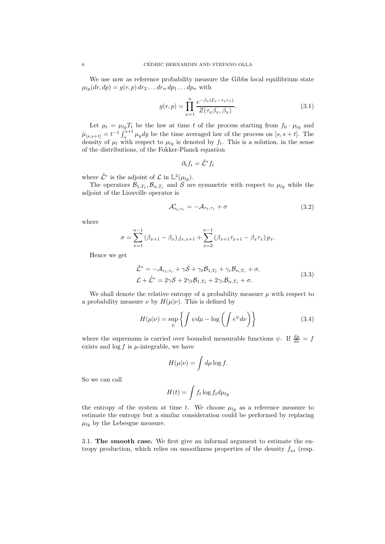We use now as reference probability measure the Gibbs local equilibrium state  $\mu_{lg}(dr, dp) = g(r, p) dr_2 \dots dr_n dp_1 \dots dp_n$  with

$$
g(r,p) = \prod_{x=1}^{n} \frac{e^{-\beta_x(\mathcal{E}_x - \tau_x r_x)}}{Z(\tau_x \beta_x, \beta_x)}.
$$
\n(3.1)

Let  $\mu_t = \mu_{lg} T_t$  be the law at time t of the process starting from  $f_0 \cdot \mu_{lg}$  and  $\bar{\mu}_{[s,s+t]} = t^{-1} \int_s^{s+t} \mu_y dy$  be the time averaged law of the process on  $[s, s+t]$ . The density of  $\mu_t$  with respect to  $\mu_{lq}$  is denoted by  $f_t$ . This is a solution, in the sense of the distributions, of the Fokker-Planck equation

$$
\partial_t f_t = \tilde{\mathcal{L}}^* f_t
$$

where  $\tilde{\mathcal{L}}^*$  is the adjoint of  $\mathcal{L}$  in  $\mathbb{L}^2(\mu_{lg})$ .

The operators  $\mathcal{B}_{1,T_{\ell}}, \mathcal{B}_{n,T_r}$  and S are symmetric with respect to  $\mu_{lg}$  while the adjoint of the Liouville operator is

$$
\mathcal{A}_{\tau_{\ell},\tau_r}^* = -\mathcal{A}_{\tau_{\ell},\tau_r} + \sigma \tag{3.2}
$$

where

$$
\sigma = \sum_{x=1}^{n-1} (\beta_{x+1} - \beta_x) j_{x,x+1} + \sum_{x=2}^{n-1} (\beta_{x+1} \tau_{x+1} - \beta_x \tau_x) p_x.
$$

Hence we get

$$
\tilde{\mathcal{L}}^* = -\mathcal{A}_{\tau_\ell, \tau_r} + \gamma \mathcal{S} + \gamma_\ell \mathcal{B}_{1, T_\ell} + \gamma_r \mathcal{B}_{n, T_r} + \sigma,
$$
\n
$$
\mathcal{L} + \tilde{\mathcal{L}}^* = 2\gamma \mathcal{S} + 2\gamma_\ell \mathcal{B}_{1, T_\ell} + 2\gamma_r \mathcal{B}_{n, T_r} + \sigma.
$$
\n(3.3)

We shall denote the relative entropy of a probability measure  $\mu$  with respect to a probability measure  $\nu$  by  $H(\mu|\nu)$ . This is defined by

$$
H(\mu|\nu) = \sup_{\psi} \left\{ \int \psi d\mu - \log \left( \int e^{\psi} d\nu \right) \right\} \tag{3.4}
$$

where the supremum is carried over bounded measurable functions  $\psi$ . If  $\frac{d\mu}{d\nu} = f$ exists and  $\log f$  is  $\mu$ -integrable, we have

$$
H(\mu|\nu) = \int d\mu \log f.
$$

So we can call

$$
H(t) = \int f_t \log f_t d\mu_{lg}
$$

the entropy of the system at time t. We choose  $\mu_{lg}$  as a reference measure to estimate the entropy but a similar consideration could be performed by replacing  $\mu_{lq}$  by the Lebesgue measure.

3.1. The smooth case. We first give an informal argument to estimate the entropy production, which relies on smoothness properties of the density  $f_{ss}$  (resp.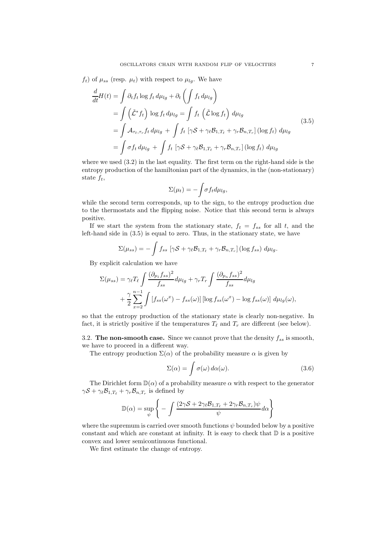$f_t$ ) of  $\mu_{ss}$  (resp.  $\mu_t$ ) with respect to  $\mu_{lg}$ . We have

$$
\frac{d}{dt}H(t) = \int \partial_t f_t \log f_t d\mu_{lg} + \partial_t \left( \int f_t d\mu_{lg} \right)
$$
\n
$$
= \int (\tilde{\mathcal{L}}^* f_t) \log f_t d\mu_{lg} = \int f_t (\tilde{\mathcal{L}} \log f_t) d\mu_{lg}
$$
\n
$$
= \int \mathcal{A}_{\tau_{\ell}, \tau_r} f_t d\mu_{lg} + \int f_t [\gamma \mathcal{S} + \gamma_{\ell} \mathcal{B}_{1, T_{\ell}} + \gamma_r \mathcal{B}_{n, T_r}] (\log f_t) d\mu_{lg}
$$
\n
$$
= \int \sigma f_t d\mu_{lg} + \int f_t [\gamma \mathcal{S} + \gamma_{\ell} \mathcal{B}_{1, T_{\ell}} + \gamma_r \mathcal{B}_{n, T_r}] (\log f_t) d\mu_{lg}
$$
\n(3.5)

where we used (3.2) in the last equality. The first term on the right-hand side is the entropy production of the hamiltonian part of the dynamics, in the (non-stationary) state  $f_t$ ,

$$
\Sigma(\mu_t) = -\int \sigma f_t d\mu_{lg},
$$

while the second term corresponds, up to the sign, to the entropy production due to the thermostats and the flipping noise. Notice that this second term is always positive.

If we start the system from the stationary state,  $f_t = f_{ss}$  for all t, and the left-hand side in (3.5) is equal to zero. Thus, in the stationary state, we have

$$
\Sigma(\mu_{ss}) = -\int f_{ss} \left[ \gamma \mathcal{S} + \gamma_{\ell} \mathcal{B}_{1,T_{\ell}} + \gamma_{r} \mathcal{B}_{n,T_{r}} \right] (\log f_{ss}) d\mu_{lg}.
$$

By explicit calculation we have

$$
\Sigma(\mu_{ss}) = \gamma_{\ell} T_{\ell} \int \frac{(\partial_{p_1} f_{ss})^2}{f_{ss}} d\mu_{lg} + \gamma_r T_r \int \frac{(\partial_{p_n} f_{ss})^2}{f_{ss}} d\mu_{lg}
$$
  
+ 
$$
\frac{\gamma}{2} \sum_{x=2}^{n-1} \int [f_{ss}(\omega^x) - f_{ss}(\omega)] [\log f_{ss}(\omega^x) - \log f_{ss}(\omega)] d\mu_{lg}(\omega),
$$

so that the entropy production of the stationary state is clearly non-negative. In fact, it is strictly positive if the temperatures  $T_{\ell}$  and  $T_r$  are different (see below).

3.2. The non-smooth case. Since we cannot prove that the density  $f_{ss}$  is smooth, we have to proceed in a different way.

The entropy production  $\Sigma(\alpha)$  of the probability measure  $\alpha$  is given by

$$
\Sigma(\alpha) = \int \sigma(\omega) \, d\alpha(\omega). \tag{3.6}
$$

The Dirichlet form  $\mathbb{D}(\alpha)$  of a probability measure  $\alpha$  with respect to the generator  $\gamma S + \gamma_{\ell} B_{1,T_{\ell}} + \gamma_{r} B_{n,T_{r}}$  is defined by

$$
\mathbb{D}(\alpha) = \sup_{\psi} \left\{-\int \frac{(2\gamma S + 2\gamma_{\ell} \mathcal{B}_{1,T_{\ell}} + 2\gamma_{r} \mathcal{B}_{n,T_{r}}) \psi}{\psi} d\alpha\right\}
$$

where the supremum is carried over smooth functions  $\psi$  bounded below by a positive constant and which are constant at infinity. It is easy to check that  $\mathbb D$  is a positive convex and lower semicontinuous functional.

We first estimate the change of entropy.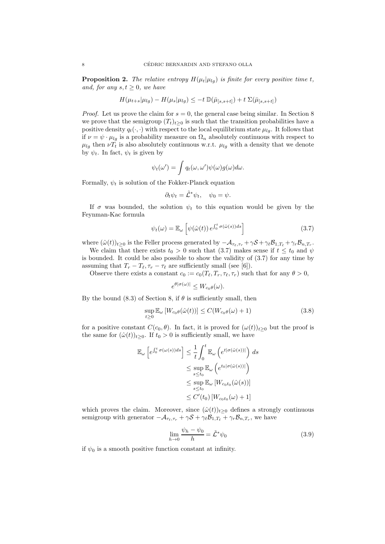**Proposition 2.** The relative entropy  $H(\mu_t|\mu_{lq})$  is finite for every positive time t, and, for any  $s, t \geq 0$ , we have

$$
H(\mu_{t+s}|\mu_{lg}) - H(\mu_s|\mu_{lg}) \leq -t \, \mathbb{D}(\bar{\mu}_{[s,s+t]}) + t \, \Sigma(\bar{\mu}_{[s,s+t]})
$$

*Proof.* Let us prove the claim for  $s = 0$ , the general case being similar. In Section 8 we prove that the semigroup  $(T_t)_{t\geq0}$  is such that the transition probabilities have a positive density  $q_t(\cdot, \cdot)$  with respect to the local equilibrium state  $\mu_{lg}$ . It follows that if  $\nu = \psi \cdot \mu_{lg}$  is a probability measure on  $\Omega_n$  absolutely continuous with respect to  $\mu_{lg}$  then  $\nu T_t$  is also absolutely continuous w.r.t.  $\mu_{lg}$  with a density that we denote by  $\psi_t$ . In fact,  $\psi_t$  is given by

$$
\psi_t(\omega') = \int q_t(\omega, \omega') \psi(\omega) g(\omega) d\omega.
$$

Formally,  $\psi_t$  is solution of the Fokker-Planck equation

$$
\partial_t \psi_t = \tilde{\mathcal{L}}^* \psi_t, \quad \psi_0 = \psi.
$$

If  $\sigma$  was bounded, the solution  $\psi_t$  to this equation would be given by the Feynman-Kac formula

$$
\psi_t(\omega) = \mathbb{E}_{\omega} \left[ \psi(\hat{\omega}(t)) e^{\int_0^t \sigma(\hat{\omega}(s))ds} \right]
$$
\n(3.7)

where  $(\hat{\omega}(t))_{t\geq 0}$  is the Feller process generated by  $-\mathcal{A}_{\tau_{\ell},\tau_{r}} + \gamma \mathcal{S} + \gamma_{\ell} \mathcal{B}_{1,T_{\ell}} + \gamma_{r} \mathcal{B}_{n,T_{r}}$ .

We claim that there exists  $t_0 > 0$  such that (3.7) makes sense if  $t \leq t_0$  and  $\psi$ is bounded. It could be also possible to show the validity of (3.7) for any time by assuming that  $T_r - T_\ell, \tau_r - \tau_\ell$  are sufficiently small (see [6]).

Observe there exists a constant  $c_0 := c_0(T_\ell, T_r, \tau_\ell, \tau_r)$  such that for any  $\theta > 0$ ,

$$
e^{\theta|\sigma(\omega)|} \leq W_{c_0\theta}(\omega).
$$

By the bound (8.3) of Section 8, if  $\theta$  is sufficiently small, then

$$
\sup_{t\geq 0} \mathbb{E}_{\omega} \left[ W_{c_0\theta}(\hat{\omega}(t)) \right] \leq C(W_{c_0\theta}(\omega) + 1)
$$
\n(3.8)

for a positive constant  $C(c_0, \theta)$ . In fact, it is proved for  $(\omega(t))_{t>0}$  but the proof is the same for  $(\hat{\omega}(t))_{t\geq 0}$ . If  $t_0 > 0$  is sufficiently small, we have

$$
\mathbb{E}_{\omega}\left[e^{\int_0^t \sigma(\omega(s))ds}\right] \leq \frac{1}{t} \int_0^t \mathbb{E}_{\omega}\left(e^{t|\sigma(\hat{\omega}(s))|}\right) ds
$$
  

$$
\leq \sup_{s \leq t_0} \mathbb{E}_{\omega}\left(e^{t_0|\sigma(\hat{\omega}(s))|}\right)
$$
  

$$
\leq \sup_{s \leq t_0} \mathbb{E}_{\omega}\left[W_{c_0t_0}(\hat{\omega}(s))\right]
$$
  

$$
\leq C'(t_0)\left[W_{c_0t_0}(\omega) + 1\right]
$$

which proves the claim. Moreover, since  $(\hat{\omega}(t))_{t\geq 0}$  defines a strongly continuous semigroup with generator  $-\mathcal{A}_{\tau_{\ell},\tau_r} + \gamma \mathcal{S} + \gamma_{\ell} \mathcal{B}_{1,T_{\ell}} + \gamma_r \mathcal{B}_{n,T_r}$ , we have

$$
\lim_{h \to 0} \frac{\psi_h - \psi_0}{h} = \tilde{\mathcal{L}}^* \psi_0 \tag{3.9}
$$

if  $\psi_0$  is a smooth positive function constant at infinity.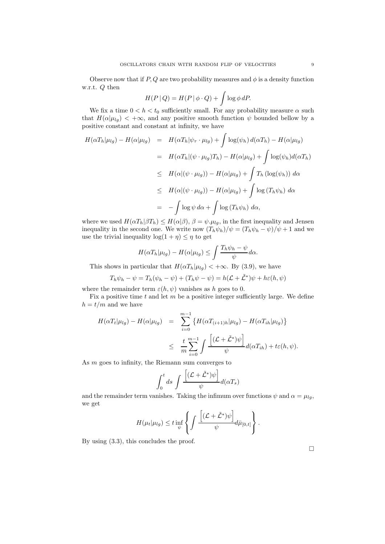Observe now that if  $P, Q$  are two probability measures and  $\phi$  is a density function w.r.t. Q then

$$
H(P | Q) = H(P | \phi \cdot Q) + \int \log \phi \, dP.
$$

We fix a time  $0 < h < t_0$  sufficiently small. For any probability measure  $\alpha$  such that  $H(\alpha|\mu_{lq}) < +\infty$ , and any positive smooth function  $\psi$  bounded bellow by a positive constant and constant at infinity, we have

$$
H(\alpha T_h|\mu_{lg}) - H(\alpha|\mu_{lg}) = H(\alpha T_h|\psi_{\tau} \cdot \mu_{lg}) + \int \log(\psi_h) d(\alpha T_h) - H(\alpha|\mu_{lg})
$$
  
\n
$$
= H(\alpha T_h|(\psi \cdot \mu_{lg})T_h) - H(\alpha|\mu_{lg}) + \int \log(\psi_h) d(\alpha T_h)
$$
  
\n
$$
\leq H(\alpha|(\psi \cdot \mu_{lg})) - H(\alpha|\mu_{lg}) + \int T_h(\log(\psi_h)) d\alpha
$$
  
\n
$$
\leq H(\alpha|(\psi \cdot \mu_{lg})) - H(\alpha|\mu_{lg}) + \int \log(T_h \psi_h) d\alpha
$$
  
\n
$$
= - \int \log \psi d\alpha + \int \log(T_h \psi_h) d\alpha,
$$

where we used  $H(\alpha T_h|\beta T_h) \leq H(\alpha|\beta), \beta = \psi.\mu_{lg}$ , in the first inequality and Jensen inequality in the second one. We write now  $(T_h \psi_h)/\psi = (T_h \psi_h - \psi)/\psi + 1$  and we use the trivial inequality  $\log(1 + \eta) \leq \eta$  to get

$$
H(\alpha T_h|\mu_{lg}) - H(\alpha|\mu_{lg}) \le \int \frac{T_h \psi_h - \psi}{\psi} d\alpha.
$$

This shows in particular that  $H(\alpha T_h|\mu_{lg}) < +\infty$ . By (3.9), we have

$$
T_h \psi_h - \psi = T_h(\psi_h - \psi) + (T_h \psi - \psi) = h(\mathcal{L} + \tilde{\mathcal{L}}^*)\psi + h\varepsilon(h, \psi)
$$

where the remainder term  $\varepsilon(h, \psi)$  vanishes as h goes to 0.

Fix a positive time  $t$  and let  $m$  be a positive integer sufficiently large. We define  $h = t/m$  and we have

$$
H(\alpha T_t | \mu_{lg}) - H(\alpha | \mu_{lg}) = \sum_{i=0}^{m-1} \left\{ H(\alpha T_{(i+1)h} | \mu_{lg}) - H(\alpha T_{ih} | \mu_{lg}) \right\}
$$
  

$$
\leq \frac{t}{m} \sum_{i=0}^{m-1} \int \frac{\left[ (\mathcal{L} + \tilde{\mathcal{L}}^*) \psi \right]}{\psi} d(\alpha T_{ih}) + t \varepsilon(h, \psi).
$$

As m goes to infinity, the Riemann sum converges to

$$
\int_0^t ds \int \frac{\left[ (\mathcal{L} + \tilde{\mathcal{L}}^*)\psi \right]}{\psi} d(\alpha T_s)
$$

and the remainder term vanishes. Taking the infimum over functions  $\psi$  and  $\alpha = \mu_{lq}$ , we get

$$
H(\mu_t|\mu_{lg}) \leq t \inf_{\psi} \left\{ \int \frac{\left[ (\mathcal{L} + \tilde{\mathcal{L}}^*)\psi \right]}{\psi} d\bar{\mu}_{[0,t]} \right\}.
$$

By using (3.3), this concludes the proof.

 $\Box$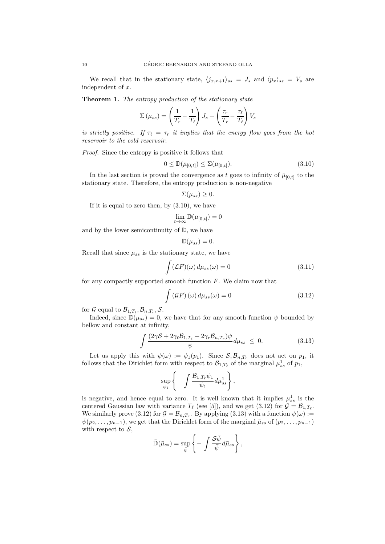We recall that in the stationary state,  $\langle j_{x,x+1} \rangle_{ss} = J_s$  and  $\langle p_x \rangle_{ss} = V_s$  are independent of x.

Theorem 1. The entropy production of the stationary state

$$
\Sigma(\mu_{ss}) = \left(\frac{1}{T_r} - \frac{1}{T_\ell}\right) J_s + \left(\frac{\tau_r}{T_r} - \frac{\tau_\ell}{T_\ell}\right) V_s
$$

is strictly positive. If  $\tau_{\ell} = \tau_r$  it implies that the energy flow goes from the hot reservoir to the cold reservoir.

Proof. Since the entropy is positive it follows that

$$
0 \leq \mathbb{D}(\bar{\mu}_{[0,t]}) \leq \Sigma(\bar{\mu}_{[0,t]}).
$$
\n(3.10)

In the last section is proved the convergence as t goes to infinity of  $\bar{\mu}_{[0,t]}$  to the stationary state. Therefore, the entropy production is non-negative

$$
\Sigma(\mu_{ss}) \geq 0.
$$

If it is equal to zero then, by  $(3.10)$ , we have

$$
\lim_{t\to\infty}\mathbb{D}(\bar{\mu}_{[0,t]})=0
$$

and by the lower semicontinuity of  $\mathbb{D}$ , we have

$$
\mathbb{D}(\mu_{ss})=0.
$$

Recall that since  $\mu_{ss}$  is the stationary state, we have

$$
\int (\mathcal{L}F)(\omega) d\mu_{ss}(\omega) = 0 \tag{3.11}
$$

for any compactly supported smooth function  $F$ . We claim now that

$$
\int (GF) (\omega) d\mu_{ss}(\omega) = 0 \qquad (3.12)
$$

for G equal to  $\mathcal{B}_{1,T_{\ell}}, \mathcal{B}_{n,T_{r}}, \mathcal{S}.$ 

Indeed, since  $\mathbb{D}(\mu_{ss})=0$ , we have that for any smooth function  $\psi$  bounded by bellow and constant at infinity,

$$
-\int \frac{(2\gamma S + 2\gamma_{\ell} \mathcal{B}_{1,T_{\ell}} + 2\gamma_{r} \mathcal{B}_{n,T_{r}})\psi}{\psi} d\mu_{ss} \leq 0.
$$
 (3.13)

Let us apply this with  $\psi(\omega) := \psi_1(p_1)$ . Since  $S, \mathcal{B}_{n,T_r}$  does not act on  $p_1$ , it follows that the Dirichlet form with respect to  $\mathcal{B}_{1,T_{\ell}}$  of the marginal  $\mu_{ss}^1$  of  $p_1$ ,

$$
\sup_{\psi_1}\left\{-\int\frac{\mathcal{B}_{1,T_{\ell}}\psi_1}{\psi_1}d\mu_{ss}^1\right\},\,
$$

is negative, and hence equal to zero. It is well known that it implies  $\mu_{ss}^1$  is the centered Gaussian law with variance  $T_{\ell}$  (see [5]), and we get (3.12) for  $\mathcal{G} = \mathcal{B}_{1,T_{\ell}}$ . We similarly prove (3.12) for  $\mathcal{G} = \mathcal{B}_{n,T_r}$ . By applying (3.13) with a function  $\psi(\omega) :=$  $\bar{\psi}(p_2, \ldots, p_{n-1}),$  we get that the Dirichlet form of the marginal  $\bar{\mu}_{ss}$  of  $(p_2, \ldots, p_{n-1})$ with respect to  $S$ ,

$$
\bar{\mathbb{D}}(\bar{\mu}_{ss}) = \sup_{\bar{\psi}} \left\{-\int \frac{\mathcal{S}\bar{\psi}}{\bar{\psi}} d\bar{\mu}_{ss}\right\},\,
$$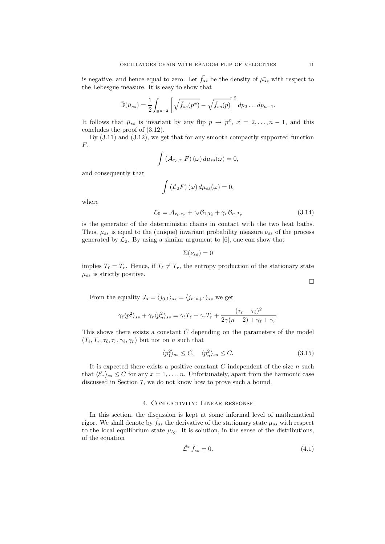is negative, and hence equal to zero. Let  $f_{ss}$  be the density of  $\bar{\mu_{ss}}$  with respect to the Lebesgue measure. It is easy to show that

$$
\bar{\mathbb{D}}(\bar{\mu}_{ss}) = \frac{1}{2} \int_{\mathbb{R}^{n-2}} \left[ \sqrt{\bar{f}_{ss}(p^x)} - \sqrt{\bar{f}_{ss}(p)} \right]^2 dp_2 \dots dp_{n-1}.
$$

It follows that  $\bar{\mu}_{ss}$  is invariant by any flip  $p \to p^x$ ,  $x = 2, ..., n-1$ , and this concludes the proof of (3.12).

By (3.11) and (3.12), we get that for any smooth compactly supported function  $F,$ 

$$
\int \left( \mathcal{A}_{\tau_{\ell},\tau_{r}} F \right) (\omega) d\mu_{ss}(\omega) = 0,
$$

and consequently that

$$
\int (\mathcal{L}_0 F) (\omega) d\mu_{ss}(\omega) = 0,
$$

where

$$
\mathcal{L}_0 = \mathcal{A}_{\tau_\ell, \tau_r} + \gamma_\ell \mathcal{B}_{1, T_\ell} + \gamma_r \mathcal{B}_{n, T_r} \tag{3.14}
$$

is the generator of the deterministic chains in contact with the two heat baths. Thus,  $\mu_{ss}$  is equal to the (unique) invariant probability measure  $\nu_{ss}$  of the process generated by  $\mathcal{L}_0$ . By using a similar argument to [6], one can show that

$$
\Sigma(\nu_{ss})=0
$$

implies  $T_{\ell} = T_r$ . Hence, if  $T_{\ell} \neq T_r$ , the entropy production of the stationary state  $\mu_{ss}$  is strictly positive.

$$
\Box
$$

From the equality  $J_s = \langle j_{0,1} \rangle_{ss} = \langle j_{n,n+1} \rangle_{ss}$  we get

$$
\gamma_{\ell} \langle p_1^2 \rangle_{ss} + \gamma_r \langle p_n^2 \rangle_{ss} = \gamma_{\ell} T_{\ell} + \gamma_r T_r + \frac{(\tau_r - \tau_{\ell})^2}{2\gamma(n-2) + \gamma_{\ell} + \gamma_r}.
$$

This shows there exists a constant  $C$  depending on the parameters of the model  $(T_{\ell}, T_r, \tau_{\ell}, \tau_r, \gamma_{\ell}, \gamma_r)$  but not on n such that

$$
\langle p_1^2 \rangle_{ss} \le C, \quad \langle p_n^2 \rangle_{ss} \le C. \tag{3.15}
$$

It is expected there exists a positive constant  $C$  independent of the size  $n$  such that  $\langle \mathcal{E}_x \rangle_{ss} \leq C$  for any  $x = 1, ..., n$ . Unfortunately, apart from the harmonic case discussed in Section 7, we do not know how to prove such a bound.

#### 4. Conductivity: Linear response

In this section, the discussion is kept at some informal level of mathematical rigor. We shall denote by  $\hat{f}_{ss}$  the derivative of the stationary state  $\mu_{ss}$  with respect to the local equilibrium state  $\mu_{lq}$ . It is solution, in the sense of the distributions, of the equation

$$
\tilde{\mathcal{L}}^* \tilde{f}_{ss} = 0. \tag{4.1}
$$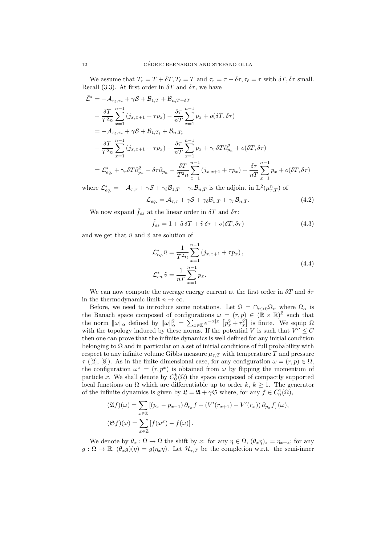We assume that  $T_r = T + \delta T$ ,  $T_\ell = T$  and  $\tau_r = \tau - \delta \tau$ ,  $\tau_\ell = \tau$  with  $\delta T$ ,  $\delta \tau$  small. Recall (3.3). At first order in  $\delta T$  and  $\delta \tau$ , we have

$$
\tilde{\mathcal{L}}^* = -\mathcal{A}_{\tau_{\ell},\tau_r} + \gamma \mathcal{S} + \mathcal{B}_{1,T} + \mathcal{B}_{n,T+\delta T}
$$
\n
$$
- \frac{\delta T}{T^2 n} \sum_{x=1}^{n-1} (j_{x,x+1} + \tau p_x) - \frac{\delta \tau}{nT} \sum_{x=1}^{n-1} p_x + o(\delta T, \delta \tau)
$$
\n
$$
= -\mathcal{A}_{\tau_{\ell},\tau_r} + \gamma \mathcal{S} + \mathcal{B}_{1,T_{\ell}} + \mathcal{B}_{n,T_r}
$$
\n
$$
- \frac{\delta T}{T^2 n} \sum_{x=1}^{n-1} (j_{x,x+1} + \tau p_x) - \frac{\delta \tau}{nT} \sum_{x=1}^{n-1} p_x + \gamma_r \delta T \partial_{p_n}^2 + o(\delta T, \delta \tau)
$$
\n
$$
= \mathcal{L}_{eq.}^* + \gamma_r \delta T \partial_{p_n}^2 - \delta \tau \partial_{p_n} - \frac{\delta T}{T^2 n} \sum_{x=1}^{n-1} (j_{x,x+1} + \tau p_x) + \frac{\delta \tau}{nT} \sum_{x=1}^{n-1} p_x + o(\delta T, \delta \tau)
$$

where  $\mathcal{L}_{eq.}^* = -\mathcal{A}_{\tau,\tau} + \gamma \mathcal{S} + \gamma_\ell \mathcal{B}_{1,T} + \gamma_r \mathcal{B}_{n,T}$  is the adjoint in  $\mathbb{L}^2(\mu_{\tau,T}^n)$  of

$$
\mathcal{L}_{eq.} = \mathcal{A}_{\tau,\tau} + \gamma \mathcal{S} + \gamma_{\ell} \mathcal{B}_{1,T} + \gamma_r \mathcal{B}_{n,T}.
$$
\n(4.2)

We now expand  $\tilde{f}_{ss}$  at the linear order in  $\delta T$  and  $\delta \tau$ :

$$
\tilde{f}_{ss} = 1 + \tilde{u}\,\delta T + \tilde{v}\,\delta \tau + o(\delta T, \delta \tau) \tag{4.3}
$$

and we get that  $\tilde{u}$  and  $\tilde{v}$  are solution of

$$
\mathcal{L}_{eq.}^{*} \tilde{u} = \frac{1}{T^2 n} \sum_{x=1}^{n-1} (j_{x,x+1} + \tau p_x),
$$
  
\n
$$
\mathcal{L}_{eq.}^{*} \tilde{v} = \frac{1}{nT} \sum_{x=1}^{n-1} p_x.
$$
\n(4.4)

We can now compute the average energy current at the first order in  $\delta T$  and  $\delta \tau$ in the thermodynamic limit  $n \to \infty$ .

Before, we need to introduce some notations. Let  $\Omega = \cap_{\alpha > 0} \Omega_{\alpha}$  where  $\Omega_{\alpha}$  is the Banach space composed of configurations  $\omega = (r, p) \in (\mathbb{R} \times \mathbb{R})^{\mathbb{Z}}$  such that the norm  $\|\omega\|_{\alpha}$  defined by  $\|\omega\|_{\alpha}^{2} = \sum_{x \in \mathbb{Z}} e^{-\alpha|x|} \left[ p_{x}^{2} + r_{x}^{2} \right]$  is finite. We equip  $\Omega$ with the topology induced by these norms. If the potential V is such that  $V'' \leq C$ then one can prove that the infinite dynamics is well defined for any initial condition belonging to  $\Omega$  and in particular on a set of initial conditions of full probability with respect to any infinite volume Gibbs measure  $\mu_{\tau,T}$  with temperature T and pressure  $\tau$  ([2], [8]). As in the finite dimensional case, for any configuration  $\omega = (r, p) \in \Omega$ , the configuration  $\omega^x = (r, p^x)$  is obtained from  $\omega$  by flipping the momentum of particle x. We shall denote by  $C_0^k(\Omega)$  the space composed of compactly supported local functions on  $\Omega$  which are differentiable up to order k,  $k \geq 1$ . The generator of the infinite dynamics is given by  $\mathfrak{L} = \mathfrak{A} + \gamma \mathfrak{S}$  where, for any  $f \in C_0^1(\Omega)$ ,

$$
(\mathfrak{A}f)(\omega) = \sum_{x \in \mathbb{Z}} \left[ (p_x - p_{x-1}) \partial_{r_x} f + (V'(r_{x+1}) - V'(r_x)) \partial_{p_x} f \right](\omega),
$$
  

$$
(\mathfrak{S}f)(\omega) = \sum_{x \in \mathbb{Z}} \left[ f(\omega^x) - f(\omega) \right].
$$

We denote by  $\theta_x : \Omega \to \Omega$  the shift by x: for any  $\eta \in \Omega$ ,  $(\theta_x \eta)_z = \eta_{x+z}$ ; for any  $g: \Omega \to \mathbb{R}, (\theta_x g)(\eta) = g(\eta_x \eta)$ . Let  $\mathcal{H}_{\tau,T}$  be the completion w.r.t. the semi-inner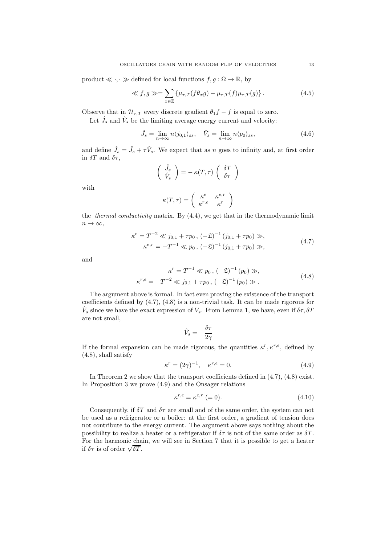product  $\ll \cdot, \cdot \gg$  defined for local functions  $f, g : \Omega \to \mathbb{R}$ , by

$$
\ll f, g \gg = \sum_{x \in \mathbb{Z}} \left\{ \mu_{\tau,T}(f\theta_x g) - \mu_{\tau,T}(f)\mu_{\tau,T}(g) \right\}.
$$
 (4.5)

Observe that in  $\mathcal{H}_{\tau,T}$  every discrete gradient  $\theta_1 f - f$  is equal to zero.

Let  $\hat{J}_s$  and  $\hat{V}_s$  be the limiting average energy current and velocity:

$$
\tilde{J}_s = \lim_{n \to \infty} n \langle j_{0,1} \rangle_{ss}, \quad \hat{V}_s = \lim_{n \to \infty} n \langle p_0 \rangle_{ss}, \tag{4.6}
$$

and define  $\hat{J}_s = \tilde{J}_s + \tau \hat{V}_s$ . We expect that as n goes to infinity and, at first order in  $\delta T$  and  $\delta \tau$ ,

$$
\begin{pmatrix}\n\hat{J}_s \\
\hat{V}_s\n\end{pmatrix} = -\kappa(T,\tau) \begin{pmatrix}\n\delta T \\
\delta \tau\n\end{pmatrix}
$$

with

$$
\kappa(T,\tau) = \begin{pmatrix} \kappa^e & \kappa^{e,r} \\ \kappa^{r,e} & \kappa^r \end{pmatrix}
$$

the *thermal conductivity* matrix. By  $(4.4)$ , we get that in the thermodynamic limit  $n \to \infty$ ,

$$
\kappa^{e} = T^{-2} \ll j_{0,1} + \tau p_0, \, (-\mathfrak{L})^{-1} (j_{0,1} + \tau p_0) \gg,
$$
  

$$
\kappa^{e,r} = -T^{-1} \ll p_0, \, (-\mathfrak{L})^{-1} (j_{0,1} + \tau p_0) \gg,
$$
 (4.7)

and

$$
\kappa^r = T^{-1} \ll p_0, \, (-\mathfrak{L})^{-1} (p_0) \gg,
$$
  

$$
\kappa^{r,e} = -T^{-2} \ll j_{0,1} + \tau p_0, \, (-\mathfrak{L})^{-1} (p_0) \gg.
$$
 (4.8)

The argument above is formal. In fact even proving the existence of the transport coefficients defined by (4.7), (4.8) is a non-trivial task. It can be made rigorous for  $\hat{V}_s$  since we have the exact expression of  $V_s$ . From Lemma 1, we have, even if  $\delta \tau$ ,  $\delta T$ are not small,

$$
\hat{V}_s = -\frac{\delta \tau}{2\gamma}
$$

If the formal expansion can be made rigorous, the quantities  $\kappa^r, \kappa^{r,e}$ , defined by (4.8), shall satisfy

$$
\kappa^r = (2\gamma)^{-1}, \quad \kappa^{r,e} = 0.
$$
\n(4.9)

In Theorem 2 we show that the transport coefficients defined in (4.7), (4.8) exist. In Proposition 3 we prove (4.9) and the Onsager relations

$$
\kappa^{r,e} = \kappa^{e,r} \ (=0). \tag{4.10}
$$

Consequently, if  $\delta T$  and  $\delta \tau$  are small and of the same order, the system can not be used as a refrigerator or a boiler: at the first order, a gradient of tension does not contribute to the energy current. The argument above says nothing about the possibility to realize a heater or a refrigerator if  $\delta \tau$  is not of the same order as  $\delta T$ . For the harmonic chain, we will see in Section 7 that it is possible to get a heater if  $\delta \tau$  is of order  $\sqrt{\delta T}$ .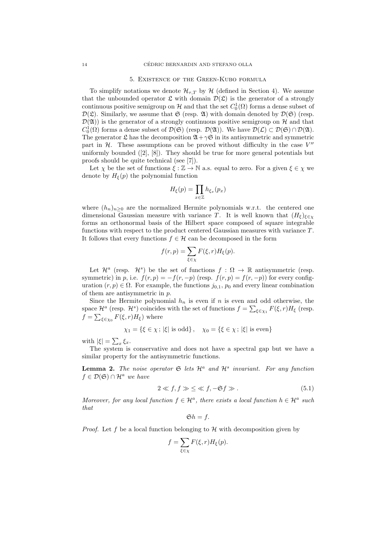#### 5. Existence of the Green-Kubo formula

To simplify notations we denote  $\mathcal{H}_{\tau,T}$  by  $\mathcal{H}$  (defined in Section 4). We assume that the unbounded operator  $\mathfrak L$  with domain  $\mathcal D(\mathfrak L)$  is the generator of a strongly continuous positive semigroup on  $\mathcal H$  and that the set  $C_0^1(\Omega)$  forms a dense subset of  $\mathcal{D}(\mathfrak{L})$ . Similarly, we assume that  $\mathfrak{S}$  (resp.  $\mathfrak{A}$ ) with domain denoted by  $\mathcal{D}(\mathfrak{S})$  (resp.  $\mathcal{D}(\mathfrak{A})$  is the generator of a strongly continuous positive semigroup on H and that  $C_0^1(\Omega)$  forms a dense subset of  $\mathcal{D}(\mathfrak{S})$  (resp.  $\mathcal{D}(\mathfrak{A})$ ). We have  $\mathcal{D}(\mathcal{L}) \subset \mathcal{D}(\mathfrak{S}) \cap \mathcal{D}(\mathfrak{A})$ . The generator  $\mathfrak L$  has the decomposition  $\mathfrak A+\gamma\mathfrak S$  in its antisymmetric and symmetric part in  $H$ . These assumptions can be proved without difficulty in the case  $V''$ uniformly bounded  $([2], [8])$ . They should be true for more general potentials but proofs should be quite technical (see [7]).

Let  $\chi$  be the set of functions  $\xi : \mathbb{Z} \to \mathbb{N}$  a.s. equal to zero. For a given  $\xi \in \chi$  we denote by  $H_{\xi}(p)$  the polynomial function

$$
H_{\xi}(p) = \prod_{x \in \mathbb{Z}} h_{\xi_x}(p_x)
$$

where  $(h_n)_{n\geq 0}$  are the normalized Hermite polynomials w.r.t. the centered one dimensional Gaussian measure with variance T. It is well known that  $(H_{\xi})_{\xi \in \chi}$ forms an orthonormal basis of the Hilbert space composed of square integrable functions with respect to the product centered Gaussian measures with variance  $T$ . It follows that every functions  $f \in \mathcal{H}$  can be decomposed in the form

$$
f(r,p) = \sum_{\xi \in \chi} F(\xi, r) H_{\xi}(p).
$$

Let  $\mathcal{H}^a$  (resp.  $\mathcal{H}^s$ ) be the set of functions  $f : \Omega \to \mathbb{R}$  antisymmetric (resp. symmetric) in p, i.e.  $f(r, p) = -f(r, -p)$  (resp.  $f(r, p) = f(r, -p)$ ) for every configuration  $(r, p) \in \Omega$ . For example, the functions  $j_{0,1}$ ,  $p_0$  and every linear combination of them are antisymmetric in p.

Since the Hermite polynomial  $h_n$  is even if n is even and odd otherwise, the space  $\mathcal{H}^a$  (resp.  $\mathcal{H}^s$ ) coincides with the set of functions  $f = \sum_{\xi \in \chi_1} F(\xi, r) H_{\xi}$  (resp.  $f = \sum_{\xi \in \chi_0} F(\xi, r) H_{\xi}$  where

$$
\chi_1 = \{ \xi \in \chi \, ; \, |\xi| \text{ is odd} \}, \quad \chi_0 = \{ \xi \in \chi \, ; \, |\xi| \text{ is even} \}
$$

with  $|\xi| = \sum_x \xi_x$ .

The system is conservative and does not have a spectral gap but we have a similar property for the antisymmetric functions.

**Lemma 2.** The noise operator  $\mathfrak{S}$  lets  $\mathcal{H}^a$  and  $\mathcal{H}^s$  invariant. For any function  $f \in \mathcal{D}(\mathfrak{S}) \cap \mathcal{H}^a$  we have

$$
2 \ll f, f \gg \leq \ll f, -\mathfrak{S}f \gg. \tag{5.1}
$$

Moreover, for any local function  $f \in \mathcal{H}^a$ , there exists a local function  $h \in \mathcal{H}^a$  such that

$$
\mathfrak{S}h=f.
$$

*Proof.* Let f be a local function belonging to  $\mathcal{H}$  with decomposition given by

$$
f = \sum_{\xi \in \chi} F(\xi, r) H_{\xi}(p).
$$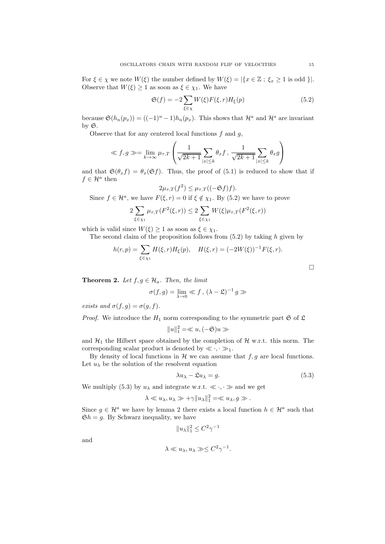For  $\xi \in \chi$  we note  $W(\xi)$  the number defined by  $W(\xi) = |\{x \in \mathbb{Z} : \xi_x \geq 1 \text{ is odd }\}|.$ Observe that  $W(\xi) \geq 1$  as soon as  $\xi \in \chi_1$ . We have

$$
\mathfrak{S}(f) = -2 \sum_{\xi \in \chi} W(\xi) F(\xi, r) H_{\xi}(p) \tag{5.2}
$$

because  $\mathfrak{S}(h_n(p_x)) = ((-1)^n - 1)h_n(p_x)$ . This shows that  $\mathcal{H}^a$  and  $\mathcal{H}^s$  are invariant by  $\mathfrak{S}.$ 

Observe that for any centered local functions  $f$  and  $g$ ,

$$
\ll f, g \gg = \lim_{k \to \infty} \mu_{\tau, T} \left( \frac{1}{\sqrt{2k+1}} \sum_{|x| \le k} \theta_x f, \frac{1}{\sqrt{2k+1}} \sum_{|x| \le k} \theta_x g \right)
$$

and that  $\mathfrak{S}(\theta_x f) = \theta_x(\mathfrak{S} f)$ . Thus, the proof of (5.1) is reduced to show that if  $f \in \mathcal{H}^a$  then

$$
2\mu_{\tau,T}(f^2) \leq \mu_{\tau,T}((-\mathfrak{S}f)f).
$$

Since  $f \in \mathcal{H}^a$ , we have  $F(\xi, r) = 0$  if  $\xi \notin \chi_1$ . By (5.2) we have to prove

$$
2\sum_{\xi \in \chi_1} \mu_{\tau,T}(F^2(\xi,r)) \le 2\sum_{\xi \in \chi_1} W(\xi)\mu_{\tau,T}(F^2(\xi,r))
$$

which is valid since  $W(\xi) \geq 1$  as soon as  $\xi \in \chi_1$ .

The second claim of the proposition follows from  $(5.2)$  by taking h given by

$$
h(r,p) = \sum_{\xi \in \chi_1} H(\xi, r) H_{\xi}(p), \quad H(\xi, r) = (-2W(\xi))^{-1} F(\xi, r).
$$

**Theorem 2.** Let  $f, g \in \mathcal{H}_a$ . Then, the limit

$$
\sigma(f,g) = \lim_{\lambda \to 0} \ll f, \, (\lambda - \mathfrak{L})^{-1} g \gg
$$

exists and  $\sigma(f,g) = \sigma(g,f)$ .

*Proof.* We introduce the  $H_1$  norm corresponding to the symmetric part  $\mathfrak{S}$  of  $\mathfrak{L}$ 

$$
||u||_1^2 = \ll u, (-\mathfrak{S})u \gg
$$

and  $\mathcal{H}_1$  the Hilbert space obtained by the completion of  $\mathcal{H}$  w.r.t. this norm. The corresponding scalar product is denoted by  $\ll \cdot, \cdot \gg_1$ .

By density of local functions in  $H$  we can assume that  $f, g$  are local functions. Let  $u_{\lambda}$  be the solution of the resolvent equation

$$
\lambda u_{\lambda} - \mathfrak{L}u_{\lambda} = g. \tag{5.3}
$$

We multiply (5.3) by  $u_{\lambda}$  and integrate w.r.t.  $\ll \cdot, \cdot \gg$  and we get

$$
\lambda \ll u_{\lambda}, u_{\lambda} \gg +\gamma ||u_{\lambda}||_1^2 = \ll u_{\lambda}, g \gg.
$$

Since  $g \in \mathcal{H}^a$  we have by lemma 2 there exists a local function  $h \in \mathcal{H}^a$  such that  $\mathfrak{S}h = g$ . By Schwarz inequality, we have

$$
||u_\lambda||_1^2 \leq C^2 \gamma^{-1}
$$

and

$$
\lambda \ll u_{\lambda}, u_{\lambda} \gg \leq C^2 \gamma^{-1}.
$$

 $\Box$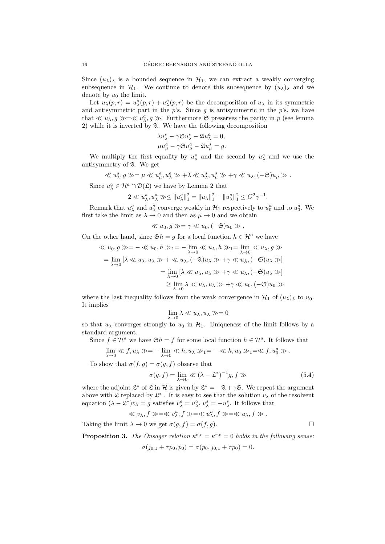Since  $(u_\lambda)_\lambda$  is a bounded sequence in  $\mathcal{H}_1$ , we can extract a weakly converging subsequence in  $\mathcal{H}_1$ . We continue to denote this subsequence by  $(u_\lambda)$  and we denote by  $u_0$  the limit.

Let  $u_\lambda(p,r) = u_\lambda^s(p,r) + u_\lambda^a(p,r)$  be the decomposition of  $u_\lambda$  in its symmetric and antisymmetric part in the  $p$ 's. Since  $g$  is antisymmetric in the  $p$ 's, we have that  $\ll u_{\lambda}, g \gg \ll u_{\lambda}^a, g \gg$ . Furthermore G preserves the parity in p (see lemma 2) while it is inverted by A. We have the following decomposition

$$
\lambda u_{\lambda}^{s} - \gamma \mathfrak{S} u_{\lambda}^{s} - \mathfrak{A} u_{\lambda}^{a} = 0,
$$
  

$$
\mu u_{\mu}^{a} - \gamma \mathfrak{S} u_{\mu}^{a} - \mathfrak{A} u_{\mu}^{s} = g.
$$

We multiply the first equality by  $u^s_\mu$  and the second by  $u^a_\lambda$  and we use the antisymmetry of A. We get

$$
\ll u_{\lambda}^a, g \gg = \mu \ll u_{\mu}^a, u_{\lambda}^a \gg +\lambda \ll u_{\lambda}^s, u_{\mu}^s \gg +\gamma \ll u_{\lambda}, (-\mathfrak{S})u_{\mu} \gg.
$$

Since  $u_{\lambda}^a \in \mathcal{H}^a \cap \mathcal{D}(\mathfrak{L})$  we have by Lemma 2 that

$$
2 \ll u_{\lambda}^a, u_{\lambda}^a \gg \leq \|u_{\lambda}^a\|_1^2 = \|u_{\lambda}\|_1^2 - \|u_{\lambda}^s\|_1^2 \leq C^2 \gamma^{-1}.
$$

Remark that  $u_{\lambda}^a$  and  $u_{\lambda}^s$  converge weakly in  $\mathcal{H}_1$  respectively to  $u_0^a$  and to  $u_0^s$ . We first take the limit as  $\lambda \to 0$  and then as  $\mu \to 0$  and we obtain

$$
\ll u_0, g \gg = \gamma \ll u_0, (-\mathfrak{S})u_0 \gg.
$$

On the other hand, since  $\mathfrak{S}h = g$  for a local function  $h \in \mathcal{H}^a$  we have

$$
\langle u_0, g \rangle = -\langle u_0, h \rangle = -\lim_{\lambda \to 0} \langle u_\lambda, h \rangle = \lim_{\lambda \to 0} \langle u_\lambda, g \rangle
$$
  
= 
$$
\lim_{\lambda \to 0} [\lambda \langle u_\lambda, u_\lambda \rangle + \langle u_\lambda, (-\mathfrak{A})u_\lambda \rangle + \gamma \langle u_\lambda, (-\mathfrak{S})u_\lambda \rangle]
$$
  
= 
$$
\lim_{\lambda \to 0} [\lambda \langle u_\lambda, u_\lambda \rangle + \gamma \langle u_\lambda, (-\mathfrak{S})u_\lambda \rangle]
$$
  

$$
\geq \lim_{\lambda \to 0} \lambda \langle u_\lambda, u_\lambda \rangle + \gamma \langle u_0, (-\mathfrak{S})u_0 \rangle
$$

where the last inequality follows from the weak convergence in  $\mathcal{H}_1$  of  $(u_\lambda)_\lambda$  to  $u_0$ . It implies

$$
\lim_{\lambda \to 0} \lambda \ll u_{\lambda}, u_{\lambda} \gg = 0
$$

so that  $u_{\lambda}$  converges strongly to  $u_0$  in  $\mathcal{H}_1$ . Uniqueness of the limit follows by a standard argument.

Since  $f \in \mathcal{H}^a$  we have  $\mathfrak{S}h = f$  for some local function  $h \in \mathcal{H}^a$ . It follows that

$$
\lim_{\lambda \to 0} \ll f, u_{\lambda} \gg = -\lim_{\lambda \to 0} \ll h, u_{\lambda} \gg_1 = -\ll h, u_0 \gg_1 = \ll f, u_0^a \gg.
$$

To show that  $\sigma(f,g) = \sigma(g,f)$  observe that

$$
\sigma(g, f) = \lim_{\lambda \to 0} \ll (\lambda - \mathfrak{L}^*)^{-1} g, f \gg \tag{5.4}
$$

where the adjoint  $\mathfrak{L}^*$  of  $\mathfrak L$  in  $\mathcal H$  is given by  $\mathfrak{L}^* = -\mathfrak{A} + \gamma \mathfrak{S}$ . We repeat the argument above with  $\mathfrak L$  replaced by  $\mathfrak L^*$ . It is easy to see that the solution  $v_\lambda$  of the resolvent equation  $(\lambda - \mathcal{L}^*)v_\lambda = g$  satisfies  $v_\lambda^a = u_\lambda^a$ ,  $v_\lambda^s = -u_\lambda^s$ . It follows that

$$
\ll v_{\lambda}, f \gg \ll v_{\lambda}^a, f \gg \ll u_{\lambda}^a, f \gg \ll u_{\lambda}, f \gg.
$$

Taking the limit  $\lambda \to 0$  we get  $\sigma(g, f) = \sigma(f, g)$ .

**Proposition 3.** The Onsager relation  $\kappa^{e,r} = \kappa^{r,e} = 0$  holds in the following sense:

$$
\sigma(j_{0,1} + \tau p_0, p_0) = \sigma(p_0, j_{0,1} + \tau p_0) = 0.
$$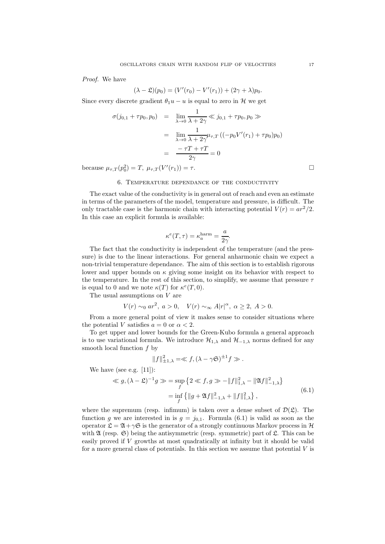Proof. We have

$$
(\lambda - \mathfrak{L})(p_0) = (V'(r_0) - V'(r_1)) + (2\gamma + \lambda)p_0.
$$

Since every discrete gradient  $\theta_1u - u$  is equal to zero in H we get

$$
\sigma(j_{0,1} + \tau p_0, p_0) = \lim_{\lambda \to 0} \frac{1}{\lambda + 2\gamma} \ll j_{0,1} + \tau p_0, p_0 \gg
$$

$$
= \lim_{\lambda \to 0} \frac{1}{\lambda + 2\gamma} \mu_{\tau,T} \left( (-p_0 V'(r_1) + \tau p_0) p_0 \right)
$$

$$
= \frac{-\tau T + \tau T}{2\gamma} = 0
$$

because  $\mu_{\tau,T}(p_0^2) = T$ ,  $\mu_{\tau,T}(V'(r_1)) = \tau$ .

#### 6. Temperature dependance of the conductivity

The exact value of the conductivity is in general out of reach and even an estimate in terms of the parameters of the model, temperature and pressure, is difficult. The only tractable case is the harmonic chain with interacting potential  $V(r) = ar^2/2$ . In this case an explicit formula is available:

$$
\kappa^{e}(T,\tau) = \kappa_a^{\text{harm}} = \frac{a}{2\gamma}.
$$

The fact that the conductivity is independent of the temperature (and the pressure) is due to the linear interactions. For general anharmonic chain we expect a non-trivial temperature dependance. The aim of this section is to establish rigorous lower and upper bounds on  $\kappa$  giving some insight on its behavior with respect to the temperature. In the rest of this section, to simplify, we assume that pressure  $\tau$ is equal to 0 and we note  $\kappa(T)$  for  $\kappa^e(T,0)$ .

The usual assumptions on V are

$$
V(r) \sim_0 ar^2, a > 0, V(r) \sim_\infty A|r|^\alpha, \alpha \ge 2, A > 0.
$$

From a more general point of view it makes sense to consider situations where the potential V satisfies  $a = 0$  or  $\alpha < 2$ .

To get upper and lower bounds for the Green-Kubo formula a general approach is to use variational formula. We introduce  $\mathcal{H}_{1,\lambda}$  and  $\mathcal{H}_{-1,\lambda}$  norms defined for any smooth local function  $f$  by

$$
||f||_{\pm 1,\lambda}^2 = \ll f, (\lambda - \gamma \mathfrak{S})^{\pm 1} f \gg.
$$

We have (see e.g. [11]):

$$
\begin{aligned} \ll g, (\lambda - \mathfrak{L})^{-1} g \gg &= \sup_{f} \left\{ 2 \ll f, g \gg -\|f\|_{1,\lambda}^2 - \|\mathfrak{A}f\|_{-1,\lambda}^2 \right\} \\ &= \inf_{f} \left\{ \|g + \mathfrak{A}f\|_{-1,\lambda}^2 + \|f\|_{1,\lambda}^2 \right\}, \end{aligned} \tag{6.1}
$$

where the supremum (resp. infimum) is taken over a dense subset of  $\mathcal{D}(\mathfrak{L})$ . The function g we are interested in is  $g = j_{0,1}$ . Formula (6.1) is valid as soon as the operator  $\mathfrak{L} = \mathfrak{A} + \gamma \mathfrak{S}$  is the generator of a strongly continuous Markov process in H with  $\mathfrak A$  (resp.  $\mathfrak S$ ) being the antisymmetric (resp. symmetric) part of  $\mathfrak L$ . This can be easily proved if V growths at most quadratically at infinity but it should be valid for a more general class of potentials. In this section we assume that potential  $V$  is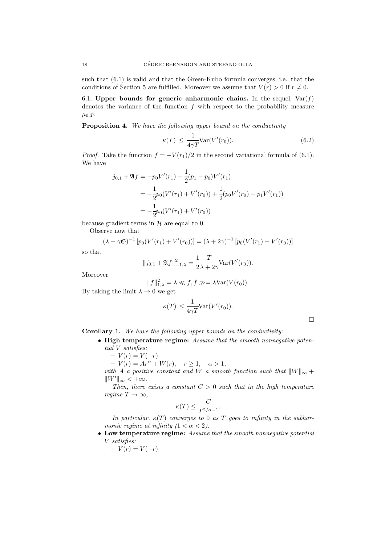such that (6.1) is valid and that the Green-Kubo formula converges, i.e. that the conditions of Section 5 are fulfilled. Moreover we assume that  $V(r) > 0$  if  $r \neq 0$ .

6.1. Upper bounds for generic anharmonic chains. In the sequel,  $Var(f)$ denotes the variance of the function  $f$  with respect to the probability measure  $\mu_{0,T}$ .

**Proposition 4.** We have the following upper bound on the conductivity

$$
\kappa(T) \le \frac{1}{4\gamma T} \text{Var}(V'(r_0)).\tag{6.2}
$$

*Proof.* Take the function  $f = -V(r_1)/2$  in the second variational formula of (6.1). We have

$$
j_{0,1} + \mathfrak{A}f = -p_0 V'(r_1) - \frac{1}{2}(p_1 - p_0)V'(r_1)
$$
  
=  $-\frac{1}{2}p_0(V'(r_1) + V'(r_0)) + \frac{1}{2}(p_0 V'(r_0) - p_1 V'(r_1))$   
=  $-\frac{1}{2}p_0(V'(r_1) + V'(r_0))$ 

because gradient terms in  $H$  are equal to 0.

Observe now that

$$
(\lambda - \gamma \mathfrak{S})^{-1} [p_0(V'(r_1) + V'(r_0))] = (\lambda + 2\gamma)^{-1} [p_0(V'(r_1) + V'(r_0))]
$$

so that

$$
||j_{0,1} + \mathfrak{A}f||_{-1,\lambda}^{2} = \frac{1}{2\lambda + 2\gamma} \text{Var}(V'(r_{0})).
$$

Moreover

$$
||f||_{1,\lambda}^2 = \lambda \ll f, f \gg = \lambda \text{Var}(V(r_0)).
$$

By taking the limit  $\lambda \to 0$  we get

$$
\kappa(T) \le \frac{1}{4\gamma T} \text{Var}(V'(r_0)).
$$

Corollary 1. We have the following upper bounds on the conductivity:

- High temperature regime: Assume that the smooth nonnegative potential V satisfies:
	- $-V(r) = V(-r)$
	- $-V(r) = Ar^{\alpha} + W(r), \quad r \ge 1, \quad \alpha > 1,$

with A a positive constant and W a smooth function such that  $||W||_{\infty} +$  $||W'||_{\infty} < +\infty.$ 

Then, there exists a constant  $C > 0$  such that in the high temperature regime  $T \to \infty$ ,

$$
\kappa(T) \le \frac{C}{T^{2/\alpha - 1}}.
$$

In particular,  $\kappa(T)$  converges to 0 as T goes to infinity in the subharmonic regime at infinity  $(1 < \alpha < 2)$ .

- Low temperature regime: Assume that the smooth nonnegative potential V satisfies:
	- $-V(r) = V(-r)$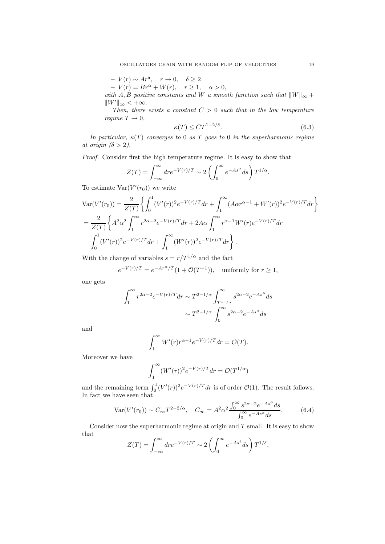$$
-V(r) \sim Ar^{\delta}, \quad r \to 0, \quad \delta \ge 2
$$

 $-V(r) = Br^{\alpha} + W(r), \quad r \ge 1, \quad \alpha > 0,$ 

with A, B positive constants and W a smooth function such that  $||W||_{\infty} +$  $\|W'\|_{\infty} < +\infty.$ 

Then, there exists a constant  $C > 0$  such that in the low temperature regime  $T \to 0$ ,

$$
\kappa(T) \leq C T^{1-2/\delta}.\tag{6.3}
$$

In particular,  $\kappa(T)$  converges to 0 as T goes to 0 in the superharmonic regime at origin  $(\delta > 2)$ .

Proof. Consider first the high temperature regime. It is easy to show that

$$
Z(T) = \int_{-\infty}^{\infty} dr e^{-V(r)/T} \sim 2 \left( \int_{0}^{\infty} e^{-As^{\alpha}} ds \right) T^{1/\alpha}.
$$

To estimate  $Var(V'(r_0))$  we write

$$
\begin{split} &\text{Var}(V'(r_0)) = \frac{2}{Z(T)} \left\{ \int_0^1 (V'(r))^2 e^{-V(r)/T} dr + \int_1^\infty (A\alpha r^{\alpha-1} + W'(r))^2 e^{-V(r)/T} dr \right\} \\ &= \frac{2}{Z(T)} \left\{ A^2 \alpha^2 \int_1^\infty r^{2\alpha-2} e^{-V(r)/T} dr + 2A\alpha \int_1^\infty r^{\alpha-1} W'(r) e^{-V(r)/T} dr + \int_0^1 (V'(r))^2 e^{-V(r)/T} dr + \int_1^\infty (W'(r))^2 e^{-V(r)/T} dr \right\}. \end{split}
$$

With the change of variables  $s = r/T^{1/\alpha}$  and the fact

$$
e^{-V(r)/T} = e^{-Ar^{\alpha}/T} (1 + \mathcal{O}(T^{-1})), \text{ uniformly for } r \ge 1,
$$

one gets

$$
\begin{split} \int_1^\infty r^{2\alpha-2}e^{-V(r)/T}dr &\sim T^{2-1/\alpha}\int_{T^{-1/\alpha}}^\infty s^{2\alpha-2}e^{-As^\alpha}ds\\ &\sim T^{2-1/\alpha}\int_0^\infty s^{2\alpha-2}e^{-As^\alpha}ds \end{split}
$$

and

$$
\int_1^\infty W'(r)r^{\alpha-1}e^{-V(r)/T}dr = \mathcal{O}(T).
$$

Moreover we have

$$
\int_1^\infty (W'(r))^2 e^{-V(r)/T} dr = \mathcal{O}(T^{1/\alpha})
$$

and the remaining term  $\int_0^1 (V'(r))^2 e^{-V(r)/T} dr$  is of order  $\mathcal{O}(1)$ . The result follows. In fact we have seen that

$$
\text{Var}(V'(r_0)) \sim C_{\infty} T^{2-2/\alpha}, \quad C_{\infty} = A^2 \alpha^2 \frac{\int_0^{\infty} s^{2\alpha - 2} e^{-As^{\alpha}} ds}{\int_0^{\infty} e^{-As^{\alpha}} ds}.
$$
 (6.4)

Consider now the superharmonic regime at origin and  $T$  small. It is easy to show that

$$
Z(T) = \int_{-\infty}^{\infty} dr e^{-V(r)/T} \sim 2 \left( \int_{0}^{\infty} e^{-As^{\delta}} ds \right) T^{1/\delta},
$$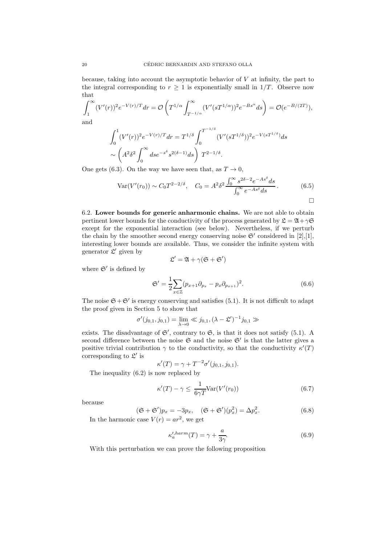because, taking into account the asymptotic behavior of V at infinity, the part to the integral corresponding to  $r \geq 1$  is exponentially small in 1/T. Observe now that

$$
\int_{1}^{\infty} (V'(r))^{2} e^{-V(r)/T} dr = \mathcal{O}\left(T^{1/\alpha} \int_{T^{-1/\alpha}}^{\infty} (V'(sT^{1/\alpha}))^{2} e^{-Bs^{\alpha}} ds\right) = \mathcal{O}(e^{-B/(2T)}),
$$
  
and  

$$
\int_{1}^{1} (2\pi f(s))^{2} e^{-V(s)/T} dr = \frac{1}{2} \int_{1}^{T^{-1/\delta}} (2\pi f(s))^{2} e^{-B(s^{\alpha})} ds
$$

$$
\int_0^1 (V'(r))^2 e^{-V(r)/T} dr = T^{1/\delta} \int_0^{T^{-1/\delta}} (V'(sT^{1/\delta}))^2 e^{-V(sT^{1/\delta})} ds
$$
  
 
$$
\sim \left(A^2 \delta^2 \int_0^\infty ds e^{-s^{\delta}} s^{2(\delta - 1)} ds\right) T^{2 - 1/\delta}.
$$

One gets (6.3). On the way we have seen that, as  $T \to 0$ ,

$$
\text{Var}(V'(r_0)) \sim C_0 T^{2-2/\delta}, \quad C_0 = A^2 \delta^2 \frac{\int_0^\infty s^{2\delta - 2} e^{-As^\delta} ds}{\int_0^\infty e^{-As^\delta} ds}.
$$
 (6.5)

6.2. Lower bounds for generic anharmonic chains. We are not able to obtain pertinent lower bounds for the conductivity of the process generated by  $\mathfrak{L} = \mathfrak{A} + \gamma \mathfrak{S}$ except for the exponential interaction (see below). Nevertheless, if we perturb the chain by the smoother second energy conserving noise  $\mathfrak{S}'$  considered in [2],[1], interesting lower bounds are available. Thus, we consider the infinite system with generator  $\mathfrak{L}'$  given by

$$
\mathfrak{L}'=\mathfrak{A}+\gamma(\mathfrak{S}+\mathfrak{S}')
$$

where  $\mathfrak{S}'$  is defined by

$$
\mathfrak{S}' = \frac{1}{2} \sum_{x \in \mathbb{Z}} (p_{x+1} \partial_{p_x} - p_x \partial_{p_{x+1}})^2.
$$
 (6.6)

The noise  $\mathfrak{S} + \mathfrak{S}'$  is energy conserving and satisfies (5.1). It is not difficult to adapt the proof given in Section 5 to show that

$$
\sigma'(j_{0,1}, j_{0,1}) = \lim_{\lambda \to 0} \ll j_{0,1}, (\lambda - \mathfrak{L}')^{-1} j_{0,1} \gg
$$

exists. The disadvantage of  $\mathfrak{S}'$ , contrary to  $\mathfrak{S}$ , is that it does not satisfy (5.1). A second difference between the noise  $\mathfrak{S}$  and the noise  $\mathfrak{S}'$  is that the latter gives a positive trivial contribution  $\gamma$  to the conductivity, so that the conductivity  $\kappa'(T)$ corresponding to  $\mathfrak{L}'$  is

$$
\kappa'(T) = \gamma + T^{-2} \sigma'(j_{0,1}, j_{0,1}).
$$

The inequality (6.2) is now replaced by

$$
\kappa'(T) - \gamma \le \frac{1}{6\gamma T} \text{Var}(V'(r_0))
$$
\n(6.7)

because

$$
(\mathfrak{S} + \mathfrak{S}')p_x = -3p_x, \quad (\mathfrak{S} + \mathfrak{S}')\left(p_x^2\right) = \Delta p_x^2. \tag{6.8}
$$

In the harmonic case  $V(r) = ar^2$ , we get

$$
\kappa_a^{\prime,harm}(T) = \gamma + \frac{a}{3\gamma}.\tag{6.9}
$$

With this perturbation we can prove the following proposition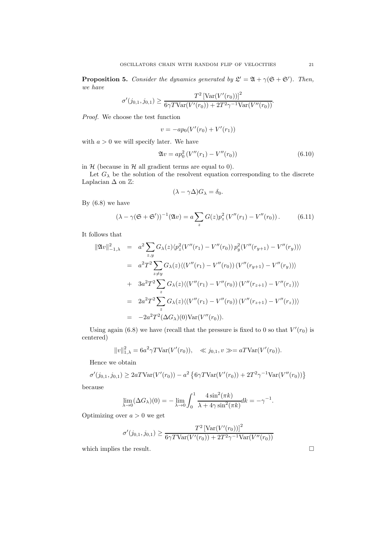**Proposition 5.** Consider the dynamics generated by  $\mathcal{L}' = \mathfrak{A} + \gamma(\mathfrak{S} + \mathfrak{S}')$ . Then, we have

$$
\sigma'(j_{0,1}, j_{0,1}) \ge \frac{T^2 \left[ \text{Var}(V'(r_0)) \right]^2}{6\gamma T \text{Var}(V'(r_0)) + 2T^2 \gamma^{-1} \text{Var}(V''(r_0))}.
$$

Proof. We choose the test function

$$
v = -ap_0(V'(r_0) + V'(r_1))
$$

with  $a > 0$  we will specify later. We have

$$
\mathfrak{A}v = ap_0^2 \left( V''(r_1) - V''(r_0) \right) \tag{6.10}
$$

in  $H$  (because in  $H$  all gradient terms are equal to 0).

Let  $G_{\lambda}$  be the solution of the resolvent equation corresponding to the discrete Laplacian  $\Delta$  on  $\mathbb{Z}$ :

$$
(\lambda - \gamma \Delta) G_{\lambda} = \delta_0.
$$

By  $(6.8)$  we have

$$
(\lambda - \gamma(\mathfrak{S} + \mathfrak{S}'))^{-1}(\mathfrak{A}v) = a \sum_{z} G(z) p_z^2 (V''(r_1) - V''(r_0)).
$$
 (6.11)

It follows that

$$
\|\mathfrak{A}v\|_{-1,\lambda}^2 = a^2 \sum_{z,y} G_{\lambda}(z) \langle p_z^2(V''(r_1) - V''(r_0)) p_y^2(V''(r_{y+1}) - V''(r_y)) \rangle
$$
  
\n
$$
= a^2 T^2 \sum_{z \neq y} G_{\lambda}(z) \langle (V''(r_1) - V''(r_0)) (V''(r_{y+1}) - V''(r_y)) \rangle
$$
  
\n
$$
+ 3a^2 T^2 \sum_{z} G_{\lambda}(z) \langle (V''(r_1) - V''(r_0)) (V''(r_{z+1}) - V''(r_z)) \rangle
$$
  
\n
$$
= 2a^2 T^2 \sum_{z} G_{\lambda}(z) \langle (V''(r_1) - V''(r_0)) (V''(r_{z+1}) - V''(r_z)) \rangle
$$
  
\n
$$
= -2a^2 T^2 (\Delta G_{\lambda})(0) \text{Var}(V''(r_0)).
$$

Using again (6.8) we have (recall that the pressure is fixed to 0 so that  $V'(r_0)$  is centered)

$$
||v||_{1,\lambda}^2 = 6a^2 \gamma T \text{Var}(V'(r_0)), \quad \ll j_{0,1}, v \gg = aT \text{Var}(V'(r_0)).
$$

Hence we obtain

$$
\sigma'(j_{0,1}, j_{0,1}) \ge 2aTV \text{ar}(V'(r_0)) - a^2 \left\{ 6\gamma TV \text{ar}(V'(r_0)) + 2T^2 \gamma^{-1} \text{Var}(V''(r_0)) \right\}
$$

because

$$
\lim_{\lambda \to 0} (\Delta G_{\lambda})(0) = -\lim_{\lambda \to 0} \int_0^1 \frac{4 \sin^2(\pi k)}{\lambda + 4\gamma \sin^2(\pi k)} dk = -\gamma^{-1}.
$$

Optimizing over  $a > 0$  we get

$$
\sigma'(j_{0,1}, j_{0,1}) \ge \frac{T^2 \left[ \text{Var}(V'(r_0)) \right]^2}{6\gamma T \text{Var}(V'(r_0)) + 2T^2 \gamma^{-1} \text{Var}(V''(r_0))}
$$

which implies the result.  $\hfill \square$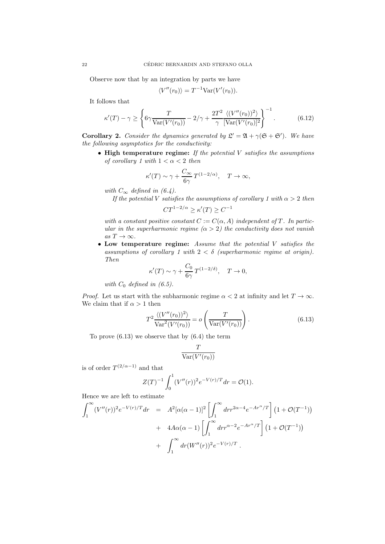Observe now that by an integration by parts we have

$$
\langle V''(r_0) \rangle = T^{-1} \text{Var}(V'(r_0)).
$$

It follows that

$$
\kappa'(T) - \gamma \ge \left\{ 6\gamma \frac{T}{\text{Var}(V'(r_0))} - 2/\gamma + \frac{2T^2}{\gamma} \frac{\langle (V''(r_0))^2 \rangle}{[\text{Var}(V'(r_0)]^2]} \right\}^{-1}.
$$
 (6.12)

**Corollary 2.** Consider the dynamics generated by  $\mathcal{L}' = \mathfrak{A} + \gamma(\mathfrak{S} + \mathfrak{S}')$ . We have the following asymptotics for the conductivity:

 $\bullet$  High temperature regime: If the potential V satisfies the assumptions of corollary 1 with  $1 < \alpha < 2$  then

$$
\kappa'(T) \sim \gamma + \frac{C_{\infty}}{6\gamma} T^{(1-2/\alpha)}, \quad T \to \infty,
$$

with  $C_{\infty}$  defined in (6.4).

If the potential V satisfies the assumptions of corollary 1 with  $\alpha > 2$  then

 $CT^{1-2/\alpha} \ge \kappa'(T) \ge C^{-1}$ 

with a constant positive constant  $C := C(\alpha, A)$  independent of T. In particular in the superharmonic regime  $(\alpha > 2)$  the conductivity does not vanish as  $T \to \infty$ .

• Low temperature regime: Assume that the potential V satisfies the assumptions of corollary 1 with  $2 < \delta$  (superharmonic regime at origin). Then

$$
\kappa'(T) \sim \gamma + \frac{C_0}{6\gamma} T^{(1-2/\delta)}, \quad T \to 0,
$$

with  $C_0$  defined in (6.5).

*Proof.* Let us start with the subharmonic regime  $\alpha < 2$  at infinity and let  $T \to \infty$ . We claim that if  $\alpha > 1$  then

$$
T^2 \frac{\langle (V''(r_0))^2 \rangle}{\text{Var}^2(V'(r_0))} = o\left(\frac{T}{\text{Var}(V'(r_0))}\right). \tag{6.13}
$$

To prove (6.13) we observe that by (6.4) the term

$$
\frac{T}{\text{Var}(V'(r_0))}
$$

is of order  $T^{(2/\alpha-1)}$  and that

$$
Z(T)^{-1} \int_0^1 (V''(r))^2 e^{-V(r)/T} dr = \mathcal{O}(1).
$$

Hence we are left to estimate

$$
\int_{1}^{\infty} (V''(r))^{2} e^{-V(r)/T} dr = A^{2} [\alpha(\alpha - 1)]^{2} \left[ \int_{1}^{\infty} dr r^{2\alpha - 4} e^{-Ar^{\alpha}/T} \right] (1 + \mathcal{O}(T^{-1}))
$$
  
+  $4A\alpha(\alpha - 1) \left[ \int_{1}^{\infty} dr r^{\alpha - 2} e^{-Ar^{\alpha}/T} \right] (1 + \mathcal{O}(T^{-1}))$   
+  $\int_{1}^{\infty} dr (W''(r))^{2} e^{-V(r)/T}.$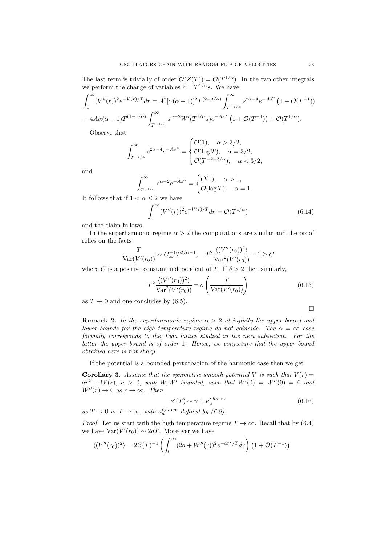The last term is trivially of order  $\mathcal{O}(Z(T)) = \mathcal{O}(T^{1/\alpha})$ . In the two other integrals we perform the change of variables  $r = T^{1/\alpha}s$ . We have

$$
\int_{1}^{\infty} (V''(r))^2 e^{-V(r)/T} dr = A^2 [\alpha(\alpha - 1)]^2 T^{(2-3/\alpha)} \int_{T^{-1/\alpha}}^{\infty} s^{2\alpha - 4} e^{-As^{\alpha}} (1 + \mathcal{O}(T^{-1}))
$$
  
+  $4A\alpha(\alpha - 1)T^{(1-1/\alpha)} \int_{T^{-1/\alpha}}^{\infty} s^{\alpha - 2} W'(T^{1/\alpha} s) e^{-As^{\alpha}} (1 + \mathcal{O}(T^{-1})) + \mathcal{O}(T^{1/\alpha}).$ 

Observe that

$$
\int_{T^{-1/\alpha}}^{\infty} s^{2\alpha-4} e^{-As^{\alpha}} = \begin{cases} \mathcal{O}(1), & \alpha > 3/2, \\ \mathcal{O}(\log T), & \alpha = 3/2, \\ \mathcal{O}(T^{-2+3/\alpha}), & \alpha < 3/2, \end{cases}
$$

and

$$
\int_{T^{-1/\alpha}}^{\infty} s^{\alpha-2} e^{-As^{\alpha}} = \begin{cases} \mathcal{O}(1), & \alpha > 1, \\ \mathcal{O}(\log T), & \alpha = 1. \end{cases}
$$

It follows that if  $1 < \alpha \leq 2$  we have

$$
\int_{1}^{\infty} (V''(r))^{2} e^{-V(r)/T} dr = \mathcal{O}(T^{1/\alpha})
$$
\n(6.14)

and the claim follows.

In the superharmonic regime  $\alpha > 2$  the computations are similar and the proof relies on the facts

$$
\frac{T}{\text{Var}(V'(r_0))} \sim C_{\infty}^{-1} T^{2/\alpha - 1}, \quad T^2 \frac{\langle (V''(r_0))^2 \rangle}{\text{Var}^2(V'(r_0))} - 1 \ge C
$$

where C is a positive constant independent of T. If  $\delta > 2$  then similarly,

$$
T^2 \frac{\langle (V''(r_0))^2 \rangle}{\text{Var}^2(V'(r_0))} = o\left(\frac{T}{\text{Var}(V'(r_0))}\right) \tag{6.15}
$$

as  $T \to 0$  and one concludes by (6.5).

**Remark 2.** In the superharmonic regime  $\alpha > 2$  at infinity the upper bound and lower bounds for the high temperature regime do not coincide. The  $\alpha = \infty$  case formally corresponds to the Toda lattice studied in the next subsection. For the latter the upper bound is of order 1. Hence, we conjecture that the upper bound obtained here is not sharp.

If the potential is a bounded perturbation of the harmonic case then we get

**Corollary 3.** Assume that the symmetric smooth potential V is such that  $V(r)$  =  $ar^2 + W(r)$ ,  $a > 0$ , with W, W' bounded, such that  $W'(0) = W''(0) = 0$  and  $W''(r) \rightarrow 0$  as  $r \rightarrow \infty$ . Then

$$
\kappa'(T) \sim \gamma + \kappa_a'^{harm} \tag{6.16}
$$

as  $T \to 0$  or  $T \to \infty$ , with  $\kappa_a^{\prime, harm}$  defined by (6.9).

*Proof.* Let us start with the high temperature regime  $T \to \infty$ . Recall that by (6.4) we have  $Var(V'(r_0)) \sim 2aT$ . Moreover we have

$$
\langle (V''(r_0))^2 \rangle = 2Z(T)^{-1} \left( \int_0^\infty (2a + W''(r))^2 e^{-ar^2/T} dr \right) \left( 1 + \mathcal{O}(T^{-1}) \right)
$$

 $\Box$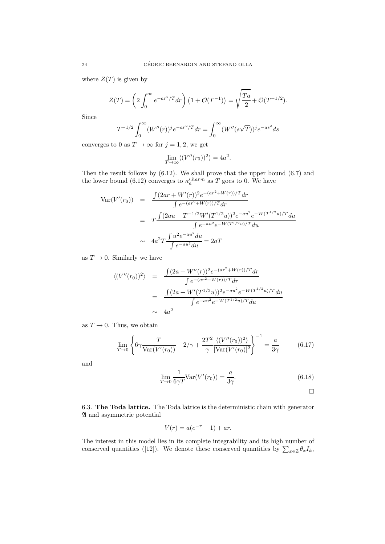where  $Z(T)$  is given by

$$
Z(T) = \left(2\int_0^\infty e^{-ar^2/T} dr\right) \left(1 + \mathcal{O}(T^{-1})\right) = \sqrt{\frac{Ta}{2}} + \mathcal{O}(T^{-1/2}).
$$

Since

$$
T^{-1/2}\int_0^\infty (W''(r))^j e^{-ar^2/T} dr = \int_0^\infty (W''(s\sqrt{T}))^j e^{-as^2} ds
$$

converges to 0 as  $T \to \infty$  for  $j = 1, 2$ , we get

$$
\lim_{T \to \infty} \langle (V''(r_0))^2 \rangle = 4a^2.
$$

Then the result follows by (6.12). We shall prove that the upper bound (6.7) and the lower bound (6.12) converges to  $\kappa_a^{\prime, harm}$  as T goes to 0. We have

$$
Var(V'(r_0)) = \frac{\int (2ar + W'(r))^2 e^{-(ar^2 + W(r))/T} dr}{\int e^{-(ar^2 + W(r))/T} dr}
$$
  
= 
$$
T \frac{\int (2au + T^{-1/2} W'(T^{1/2}u))^2 e^{-au^2} e^{-W(T^{1/2}u)/T} du}{\int e^{-au^2} e^{-W(T^{1/2}u)/T} du}
$$
  

$$
\sim 4a^2 T \frac{\int u^2 e^{-au^2} du}{\int e^{-au^2} du} = 2aT
$$

as  $T \to 0$ . Similarly we have

$$
\langle (V''(r_0))^2 \rangle = \frac{\int (2a + W''(r))^2 e^{-(ar^2 + W(r))/T} dr}{\int e^{-(ar^2 + W(r))/T} dr}
$$
  
= 
$$
\frac{\int (2a + W'(T^{1/2}u))^2 e^{-au^2} e^{-W(T^{1/2}u)/T} du}{\int e^{-au^2} e^{-W(T^{1/2}u)/T} du}
$$
  

$$
\sim 4a^2
$$

as  $T \to 0$ . Thus, we obtain

$$
\lim_{T \to 0} \left\{ 6\gamma \frac{T}{\text{Var}(V'(r_0))} - 2/\gamma + \frac{2T^2}{\gamma} \frac{\langle (V''(r_0))^2 \rangle}{[\text{Var}(V'(r_0)]^2} \right\}^{-1} = \frac{a}{3\gamma} \tag{6.17}
$$

and

$$
\lim_{T \to 0} \frac{1}{6\gamma T} \text{Var}(V'(r_0)) = \frac{a}{3\gamma}.
$$
\n(6.18)

 $\Box$ 

6.3. The Toda lattice. The Toda lattice is the deterministic chain with generator A and asymmetric potential

$$
V(r) = a(e^{-r} - 1) + ar.
$$

The interest in this model lies in its complete integrability and its high number of conserved quantities ([12]). We denote these conserved quantities by  $\sum_{x\in\mathbb{Z}} \theta_x I_k$ ,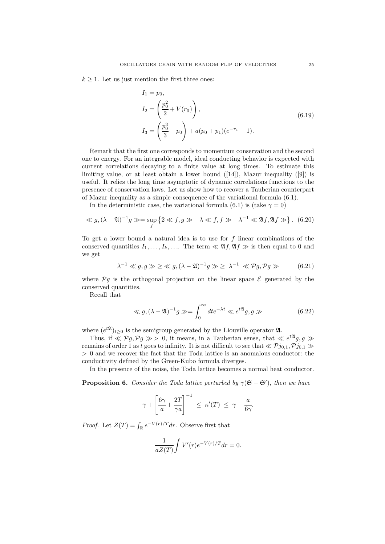$k \geq 1$ . Let us just mention the first three ones:

$$
I_1 = p_0,
$$
  
\n
$$
I_2 = \left(\frac{p_0^2}{2} + V(r_0)\right),
$$
  
\n
$$
I_3 = \left(\frac{p_0^3}{3} - p_0\right) + a(p_0 + p_1)(e^{-r_1} - 1).
$$
\n(6.19)

Remark that the first one corresponds to momentum conservation and the second one to energy. For an integrable model, ideal conducting behavior is expected with current correlations decaying to a finite value at long times. To estimate this limiting value, or at least obtain a lower bound  $([14])$ , Mazur inequality  $([9])$  is useful. It relies the long time asymptotic of dynamic correlations functions to the presence of conservation laws. Let us show how to recover a Tauberian counterpart of Mazur inequality as a simple consequence of the variational formula (6.1).

In the deterministic case, the variational formula (6.1) is (take  $\gamma = 0$ )

$$
\ll g, (\lambda - \mathfrak{A})^{-1} g \gg = \sup_{f} \left\{ 2 \ll f, g \gg -\lambda \ll f, f \gg -\lambda^{-1} \ll \mathfrak{A} f, \mathfrak{A} f \gg \right\}. \tag{6.20}
$$

To get a lower bound a natural idea is to use for  $f$  linear combinations of the conserved quantities  $I_1, \ldots, I_k, \ldots$  The term  $\ll \mathfrak{A}f, \mathfrak{A}f \gg \mathfrak{b}$  then equal to 0 and we get

$$
\lambda^{-1} \ll g, g \gg \geq \ll g, (\lambda - \mathfrak{A})^{-1} g \gg \geq \lambda^{-1} \ll \mathcal{P} g, \mathcal{P} g \gg \tag{6.21}
$$

where  $\mathcal{P}g$  is the orthogonal projection on the linear space  $\mathcal E$  generated by the conserved quantities.

Recall that

$$
\ll g, (\lambda - \mathfrak{A})^{-1} g \gg = \int_0^\infty dt e^{-\lambda t} \ll e^{t \mathfrak{A}} g, g \gg \tag{6.22}
$$

where  $(e^{t\mathfrak{A}})_{t\geq0}$  is the semigroup generated by the Liouville operator  $\mathfrak{A}$ .

Thus, if  $\leqslant$   $\mathcal{P}g$ ,  $\mathcal{P}g \gg$  0, it means, in a Tauberian sense, that  $\leqslant e^{t\mathfrak{A}}g$ ,  $g \gg$ remains of order 1 as t goes to infinity. It is not difficult to see that  $\ll \mathcal{P}j_{0,1}, \mathcal{P}j_{0,1} \gg$ > 0 and we recover the fact that the Toda lattice is an anomalous conductor: the conductivity defined by the Green-Kubo formula diverges.

In the presence of the noise, the Toda lattice becomes a normal heat conductor.

**Proposition 6.** Consider the Toda lattice perturbed by  $\gamma(\mathfrak{S} + \mathfrak{S}')$ , then we have

$$
\gamma + \left[\frac{6\gamma}{a} + \frac{2T}{\gamma a}\right]^{-1} \le \kappa'(T) \le \gamma + \frac{a}{6\gamma}.
$$

*Proof.* Let  $Z(T) = \int_{\mathbb{R}} e^{-V(r)/T} dr$ . Observe first that

$$
\frac{1}{aZ(T)} \int V'(r) e^{-V(r)/T} dr = 0.
$$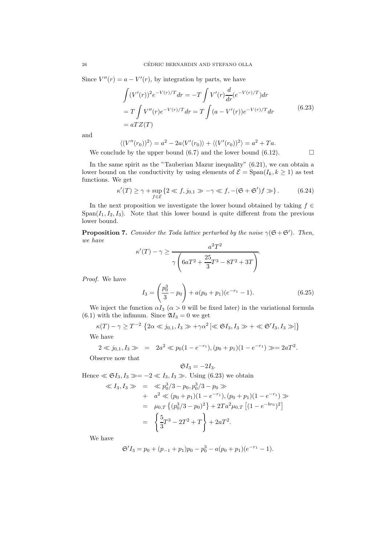Since  $V''(r) = a - V'(r)$ , by integration by parts, we have

$$
\int (V'(r))^2 e^{-V(r)/T} dr = -T \int V'(r) \frac{d}{dr} (e^{-V(r)/T}) dr
$$
  
=  $T \int V''(r) e^{-V(r)/T} dr = T \int (a - V'(r)) e^{-V(r)/T} dr$  (6.23)  
=  $aT Z(T)$ 

and

$$
\langle (V''(r_0))^2 \rangle = a^2 - 2a \langle V'(r_0) \rangle + \langle (V'(r_0))^2 \rangle = a^2 + Ta.
$$

We conclude by the upper bound (6.7) and the lower bound (6.12).  $\Box$ 

In the same spirit as the "Tauberian Mazur inequality" (6.21), we can obtain a lower bound on the conductivity by using elements of  $\mathcal{E} = \text{Span}(I_k, k \geq 1)$  as test functions. We get

$$
\kappa'(T) \ge \gamma + \sup_{f \in \mathcal{E}} \left\{ 2 \ll f, j_{0,1} \gg -\gamma \ll f, -(\mathfrak{S} + \mathfrak{S}')f \gg \right\}.
$$
 (6.24)

In the next proposition we investigate the lower bound obtained by taking  $f \in$  $Span(I_1, I_2, I_3)$ . Note that this lower bound is quite different from the previous lower bound.

**Proposition 7.** Consider the Toda lattice perturbed by the noise  $\gamma(\mathfrak{S} + \mathfrak{S}')$ . Then, we have

$$
\kappa'(T) - \gamma \ge \frac{a^2 T^2}{\gamma \left(6aT^2 + \frac{25}{3}T^3 - 8T^2 + 3T\right)}.
$$

Proof. We have

$$
I_3 = \left(\frac{p_0^3}{3} - p_0\right) + a(p_0 + p_1)(e^{-r_1} - 1). \tag{6.25}
$$

We inject the function  $\alpha I_3$  ( $\alpha > 0$  will be fixed later) in the variational formula (6.1) with the infimum. Since  $\mathfrak{A}I_3 = 0$  we get

$$
\kappa(T) - \gamma \ge T^{-2} \left\{ 2\alpha \ll j_{0,1}, I_3 \gg +\gamma \alpha^2 \left[ \ll \mathfrak{S}I_3, I_3 \gg +\ll \mathfrak{S}'I_3, I_3 \gg \right] \right\}
$$
  
We have

We have

$$
2 \ll j_{0,1}, I_3 \gg = 2a^2 \ll p_0(1 - e^{-r_1}), (p_0 + p_1)(1 - e^{-r_1}) \gg = 2aT^2.
$$

Observe now that

$$
\mathfrak{S}I_3=-2I_3.
$$

Hence  $\ll \mathfrak{S}I_3, I_3 \gg = -2 \ll I_3, I_3 \gg$ . Using (6.23) we obtain

$$
\begin{aligned}\n\ll I_3, I_3 \gg &= \ll p_0^3 / 3 - p_0, p_0^3 / 3 - p_0 \gg \\
&\quad + a^2 \ll (p_0 + p_1)(1 - e^{-r_1}), (p_0 + p_1)(1 - e^{-r_1}) \gg \\
&= \mu_{0,T} \left\{ (p_0^3 / 3 - p_0)^2 \right\} + 2Ta^2 \mu_{0,T} \left[ (1 - e^{-br_0})^2 \right] \\
&= \left\{ \frac{5}{3} T^3 - 2T^2 + T \right\} + 2aT^2.\n\end{aligned}
$$

We have

$$
\mathfrak{S}'I_3 = p_0 + (p_{-1} + p_1)p_0 - p_0^3 - a(p_0 + p_1)(e^{-r_1} - 1).
$$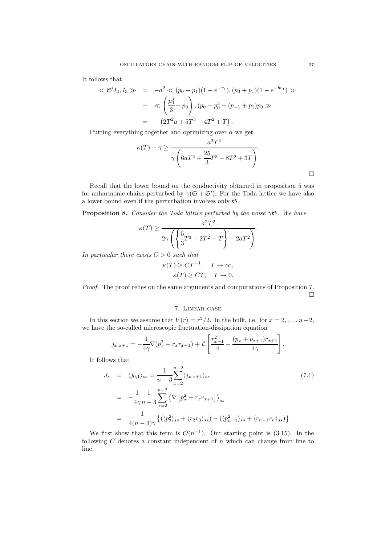It follows that

$$
\ll \mathfrak{S}' I_3, I_3 \gg = -a^2 \ll (p_0 + p_1)(1 - e^{-r_1}), (p_0 + p_1)(1 - e^{-br_1}) \gg + \ll \left(\frac{p_0^3}{3} - p_0\right), (p_0 - p_0^3 + (p_{-1} + p_1)p_0 \gg = -(2T^2a + 5T^3 - 4T^2 + T).
$$

Putting everything together and optimizing over  $\alpha$  we get

$$
\kappa(T) - \gamma \ge \frac{a^2 T^2}{\gamma \left(6aT^2 + \frac{25}{3}T^3 - 8T^2 + 3T\right)}.
$$

Recall that the lower bound on the conductivity obtained in proposition 5 was for anharmonic chains perturbed by  $\gamma(\mathfrak{S} + \mathfrak{S}')$ . For the Toda lattice we have also a lower bound even if the perturbation involves only S.

**Proposition 8.** Consider the Toda lattice perturbed by the noise  $\gamma$ S. We have

$$
\kappa(T) \ge \frac{a^2 T^2}{2\gamma \left( \left\{ \frac{5}{3} T^3 - 2T^2 + T \right\} + 2aT^2 \right)}.
$$

In particular there exists  $C > 0$  such that

$$
\kappa(T) \geq CT^{-1}, \quad T \to \infty,
$$
  

$$
\kappa(T) \geq CT, \quad T \to 0.
$$

Proof. The proof relies on the same arguments and computations of Proposition 7.  $\Box$ 

#### 7. Linear case

In this section we assume that  $V(r) = r^2/2$ . In the bulk, i.e. for  $x = 2, \ldots, n-2$ , we have the so-called microscopic fluctuation-dissipation equation

$$
j_{x,x+1} = -\frac{1}{4\gamma} \nabla (p_x^2 + r_x r_{x+1}) + \mathcal{L} \left[ \frac{r_{x+1}^2}{4} + \frac{(p_x + p_{x+1})r_{x+1}}{4\gamma} \right].
$$

It follows that

$$
J_s = \langle j_{0,1} \rangle_{ss} = \frac{1}{n-3} \sum_{x=2}^{n-2} \langle j_{x,x+1} \rangle_{ss}
$$
  
\n
$$
= -\frac{1}{4\gamma n - 3} \sum_{x=2}^{n-2} \langle \nabla \left[ p_x^2 + r_x r_{x+1} \right] \rangle_{ss}
$$
  
\n
$$
= \frac{1}{4(n-3)\gamma} \{ (\langle p_2^2 \rangle_{ss} + \langle r_2 r_3 \rangle_{ss}) - (\langle p_{n-1}^2 \rangle_{ss} + \langle r_{n-1} r_n \rangle_{ss}) \}.
$$
\n(7.1)

We first show that this term is  $\mathcal{O}(n^{-1})$ . Our starting point is (3.15). In the following  $C$  denotes a constant independent of  $n$  which can change from line to line.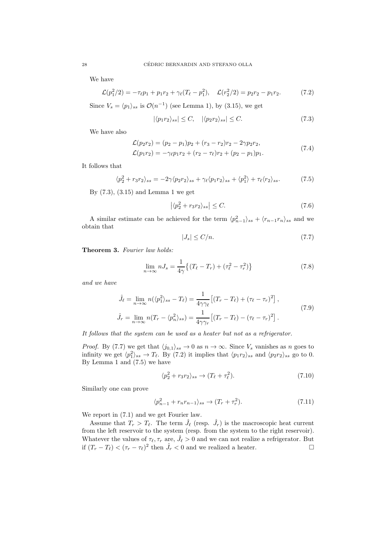We have

$$
\mathcal{L}(p_1^2/2) = -\tau_\ell p_1 + p_1 r_2 + \gamma_\ell (T_\ell - p_1^2), \quad \mathcal{L}(r_2^2/2) = p_2 r_2 - p_1 r_2. \tag{7.2}
$$

Since  $V_s = \langle p_1 \rangle_{ss}$  is  $\mathcal{O}(n^{-1})$  (see Lemma 1), by (3.15), we get

$$
|\langle p_1 r_2 \rangle_{ss}| \le C, \quad |\langle p_2 r_2 \rangle_{ss}| \le C. \tag{7.3}
$$

We have also

$$
\mathcal{L}(p_2 r_2) = (p_2 - p_1)p_2 + (r_3 - r_2)r_2 - 2\gamma p_2 r_2,\n\mathcal{L}(p_1 r_2) = -\gamma_{\ell} p_1 r_2 + (r_2 - \tau_{\ell}) r_2 + (p_2 - p_1)p_1.
$$
\n(7.4)

It follows that

$$
\langle p_2^2 + r_3 r_2 \rangle_{ss} = -2\gamma \langle p_2 r_2 \rangle_{ss} + \gamma_\ell \langle p_1 r_2 \rangle_{ss} + \langle p_1^2 \rangle + \tau_\ell \langle r_2 \rangle_{ss}.
$$
 (7.5)

By (7.3), (3.15) and Lemma 1 we get

$$
\left| \langle p_2^2 + r_3 r_2 \rangle_{ss} \right| \le C. \tag{7.6}
$$

A similar estimate can be achieved for the term  $\langle p_{n-1}^2 \rangle_{ss} + \langle r_{n-1}r_n \rangle_{ss}$  and we obtain that

$$
|J_s| \le C/n. \tag{7.7}
$$

Theorem 3. Fourier law holds:

$$
\lim_{n \to \infty} n J_s = \frac{1}{4\gamma} \left\{ (T_\ell - T_r) + (\tau_\ell^2 - \tau_r^2) \right\} \tag{7.8}
$$

and we have

$$
\hat{J}_{\ell} = \lim_{n \to \infty} n(\langle p_1^2 \rangle_{ss} - T_{\ell}) = \frac{1}{4\gamma \gamma_{\ell}} \left[ (T_r - T_{\ell}) + (\tau_{\ell} - \tau_r)^2 \right],
$$
\n
$$
\hat{J}_r = \lim_{n \to \infty} n(T_r - \langle p_n^2 \rangle_{ss}) = \frac{1}{4\gamma \gamma_r} \left[ (T_r - T_{\ell}) - (\tau_{\ell} - \tau_r)^2 \right].
$$
\n(7.9)

It follows that the system can be used as a heater but not as a refrigerator.

*Proof.* By (7.7) we get that  $\langle j_{0,1} \rangle_{ss} \to 0$  as  $n \to \infty$ . Since  $V_s$  vanishes as n goes to infinity we get  $\langle p_1^2 \rangle_{ss} \to T_{\ell}$ . By (7.2) it implies that  $\langle p_1 r_2 \rangle_{ss}$  and  $\langle p_2 r_2 \rangle_{ss}$  go to 0. By Lemma 1 and (7.5) we have

$$
\langle p_2^2 + r_3 r_2 \rangle_{ss} \to (T_\ell + \tau_\ell^2). \tag{7.10}
$$

Similarly one can prove

$$
\langle p_{n-1}^2 + r_n r_{n-1} \rangle_{ss} \to (T_r + \tau_r^2). \tag{7.11}
$$

We report in (7.1) and we get Fourier law.

Assume that  $T_r > T_{\ell}$ . The term  $\hat{J}_{\ell}$  (resp.  $\hat{J}_r$ ) is the macroscopic heat current from the left reservoir to the system (resp. from the system to the right reservoir). Whatever the values of  $\tau_{\ell}, \tau_r$  are,  $\hat{J}_{\ell} > 0$  and we can not realize a refrigerator. But if  $(T_r - T_\ell) < (\tau_r - \tau_\ell)^2$  then  $\hat{J}_r < 0$  and we realized a heater.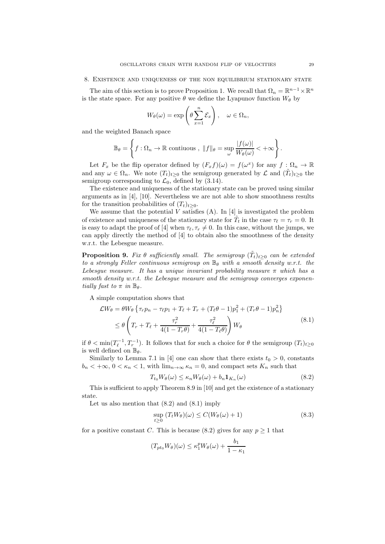#### 8. Existence and uniqueness of the non equilibrium stationary state

The aim of this section is to prove Proposition 1. We recall that  $\Omega_n = \mathbb{R}^{n-1} \times \mathbb{R}^n$ is the state space. For any positive  $\theta$  we define the Lyapunov function  $W_{\theta}$  by

$$
W_{\theta}(\omega) = \exp\left(\theta \sum_{x=1}^{n} \mathcal{E}_x\right), \quad \omega \in \Omega_n,
$$

and the weighted Banach space

$$
\mathbb{B}_{\theta} = \left\{ f : \Omega_n \to \mathbb{R} \text{ continuous }, ||f||_{\theta} = \sup_{\omega} \frac{|f(\omega)|}{W_{\theta}(\omega)} < +\infty \right\}.
$$

Let  $F_x$  be the flip operator defined by  $(F_x f)(\omega) = f(\omega^x)$  for any  $f : \Omega_n \to \mathbb{R}$ and any  $\omega \in \Omega_n$ . We note  $(T_t)_{t\geq 0}$  the semigroup generated by  $\mathcal L$  and  $(\tilde T_t)_{t\geq 0}$  the semigroup corresponding to  $\mathcal{L}_0$ , defined by (3.14).

The existence and uniqueness of the stationary state can be proved using similar arguments as in [4], [10]. Nevertheless we are not able to show smoothness results for the transition probabilities of  $(T_t)_{t>0}$ .

We assume that the potential V satisfies  $(A)$ . In [4] is investigated the problem of existence and uniqueness of the stationary state for  $\tilde{T}_t$  in the case  $\tau_\ell = \tau_r = 0$ . It is easy to adapt the proof of [4] when  $\tau_{\ell}, \tau_{r} \neq 0$ . In this case, without the jumps, we can apply directly the method of [4] to obtain also the smoothness of the density w.r.t. the Lebesgue measure.

**Proposition 9.** Fix  $\theta$  sufficiently small. The semigroup  $(\tilde{T}_t)_{t\geq 0}$  can be extended to a strongly Feller continuous semigroup on  $\mathbb{B}_{\theta}$  with a smooth density w.r.t. the Lebesgue measure. It has a unique invariant probability measure  $\pi$  which has a smooth density w.r.t. the Lebesque measure and the semigroup converges exponentially fast to  $\pi$  in  $\mathbb{B}_{\theta}$ .

A simple computation shows that

 $\mathcal{L}V$ 

$$
V_{\theta} = \theta W_{\theta} \left\{ \tau_r p_n - \tau_{\ell} p_1 + T_{\ell} + T_r + (T_{\ell} \theta - 1) p_1^2 + (T_r \theta - 1) p_n^2 \right\}
$$
  
 
$$
\leq \theta \left( T_r + T_{\ell} + \frac{\tau_r^2}{4(1 - T_r \theta)} + \frac{\tau_{\ell}^2}{4(1 - T_{\ell} \theta)} \right) W_{\theta}
$$
(8.1)

if  $\theta < \min(T_{\ell}^{-1}, T_{r}^{-1})$ . It follows that for such a choice for  $\theta$  the semigroup  $(T_{t})_{t\geq0}$ is well defined on  $\mathbb{B}_{\theta}$ .

Similarly to Lemma 7.1 in [4] one can show that there exists  $t_0 > 0$ , constants  $b_n < +\infty$ ,  $0 < \kappa_n < 1$ , with  $\lim_{n\to\infty} \kappa_n = 0$ , and compact sets  $K_n$  such that

$$
T_{t_0}W_{\theta}(\omega) \le \kappa_n W_{\theta}(\omega) + b_n \mathbf{1}_{K_n}(\omega) \tag{8.2}
$$

This is sufficient to apply Theorem 8.9 in [10] and get the existence of a stationary state.

Let us also mention that  $(8.2)$  and  $(8.1)$  imply

$$
\sup_{t\geq 0} (T_t W_{\theta})(\omega) \leq C(W_{\theta}(\omega) + 1)
$$
\n(8.3)

for a positive constant C. This is because (8.2) gives for any  $p \ge 1$  that

$$
(T_{pt_0}W_{\theta})(\omega) \leq \kappa_1^p W_{\theta}(\omega) + \frac{b_1}{1 - \kappa_1}
$$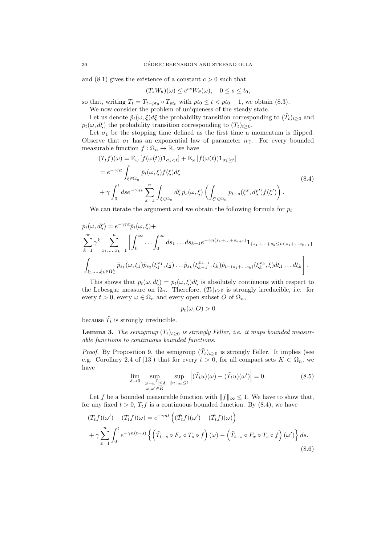and  $(8.1)$  gives the existence of a constant  $c > 0$  such that

$$
(T_s W_{\theta})(\omega) \le e^{cs} W_{\theta}(\omega), \quad 0 \le s \le t_0,
$$

so that, writing  $T_t = T_{t-pt_0} \circ T_{pt_0}$  with  $pt_0 \le t < pt_0 + 1$ , we obtain (8.3). We now consider the problem of uniqueness of the steady state.

Let us denote  $\tilde{p}_t(\omega,\xi)d\xi$  the probability transition corresponding to  $(\tilde{T}_t)_{t\geq 0}$  and  $p_t(\omega, d\xi)$  the probability transition corresponding to  $(T_t)_{t>0}$ .

Let  $\sigma_1$  be the stopping time defined as the first time a momentum is flipped. Observe that  $\sigma_1$  has an exponential law of parameter  $n\gamma$ . For every bounded measurable function  $f : \Omega_n \to \mathbb{R}$ , we have

$$
(T_t f)(\omega) = \mathbb{E}_{\omega} [f(\omega(t)) \mathbf{1}_{\sigma_1 < t}] + \mathbb{E}_{\omega} [f(\omega(t)) \mathbf{1}_{\sigma_1 \ge t}]
$$
  
\n
$$
= e^{-\gamma nt} \int_{\xi \in \Omega_n} \tilde{p}_t(\omega, \xi) f(\xi) d\xi
$$
  
\n
$$
+ \gamma \int_0^t ds e^{-\gamma ns} \sum_{x=1}^n \int_{\xi \in \Omega_n} d\xi \, \tilde{p}_s(\omega, \xi) \left( \int_{\xi' \in \Omega_n} p_{t-s}(\xi^x, d\xi') f(\xi') \right).
$$
\n(8.4)

We can iterate the argument and we obtain the following formula for  $p_t$ 

$$
p_t(\omega, d\xi) = e^{-\gamma nt} \tilde{p}_t(\omega, \xi) +
$$
  
\n
$$
\sum_{k=1}^{\infty} \gamma^k \sum_{x_1, \dots, x_k=1}^n \left[ \int_0^{\infty} \dots \int_0^{\infty} ds_1 \dots ds_{k+1} e^{-\gamma n (s_1 + \dots + s_{k+1})} \mathbf{1}_{\{s_1 + \dots + s_k \le t < s_1 + \dots + s_{k+1}\}}
$$
  
\n
$$
\int_{\xi_1, \dots, \xi_k \in \Omega_n^k} \tilde{p}_{s_1}(\omega, \xi_1) \tilde{p}_{s_2}(\xi_1^{x_1}, \xi_2) \dots \tilde{p}_{s_k}(\xi_{k-1}^{x_{k-1}}, \xi_k) \tilde{p}_{t-(s_1 + \dots s_k)}(\xi_k^{x_k}, \xi) d\xi_1 \dots d\xi_k \right].
$$

This shows that  $p_t(\omega, d\xi) = p_t(\omega, \xi) d\xi$  is absolutely continuous with respect to the Lebesgue measure on  $\Omega_n$ . Therefore,  $(T_t)_{t\geq0}$  is strongly irreducible, i.e. for every  $t > 0$ , every  $\omega \in \Omega_n$  and every open subset O of  $\Omega_n$ ,

$$
p_t(\omega,O) > 0
$$

because  $\tilde{T}_t$  is strongly irreducible.

**Lemma 3.** The semigroup  $(T_t)_{t\geq 0}$  is strongly Feller, i.e. it maps bounded measurable functions to continuous bounded functions.

*Proof.* By Proposition 9, the semigroup  $(\tilde{T}_t)_{t\geq 0}$  is strongly Feller. It implies (see e.g. Corollary 2.4 of [13]) that for every  $t > 0$ , for all compact sets  $K \subset \Omega_n$ , we have

$$
\lim_{\delta \to 0} \sup_{\substack{|\omega - \omega'| \le \delta, \ \|\omega\|_{\infty} \le 1 \\ \omega, \omega' \in K}} \sup_{\|\|u\|_{\infty} \le 1} \left| (\tilde{T}_t u)(\omega) - (\tilde{T}_t u)(\omega') \right| = 0.
$$
\n(8.5)

Let f be a bounded measurable function with  $||f||_{\infty} \leq 1$ . We have to show that, for any fixed  $t > 0$ ,  $T_t f$  is a continuous bounded function. By (8.4), we have

$$
(T_t f)(\omega') - (T_t f)(\omega) = e^{-\gamma nt} \left( (\tilde{T}_t f)(\omega') - (\tilde{T}_t f)(\omega) \right)
$$
  
+  $\gamma \sum_{x=1}^n \int_0^t e^{-\gamma n(t-s)} \left\{ \left( \tilde{T}_{t-s} \circ F_x \circ T_s \circ f \right)(\omega) - \left( \tilde{T}_{t-s} \circ F_x \circ T_s \circ f \right)(\omega') \right\} ds.$  (8.6)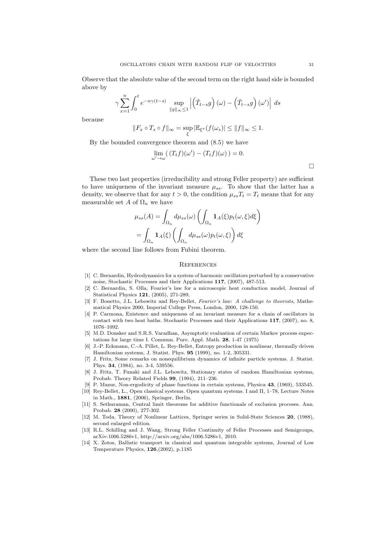Observe that the absolute value of the second term on the right hand side is bounded above by

$$
\gamma\sum_{x=1}^{n}\int_{0}^{t}e^{-n\gamma(t-s)}\sup_{\left\Vert g\right\Vert _{\infty}\leq1}\left|\left(\tilde{T}_{t-s}g\right)\left(\omega\right)-\left(\tilde{T}_{t-s}g\right)\left(\omega'\right)\right|\;ds
$$

because

$$
||F_x \circ T_s \circ f||_{\infty} = \sup_{\xi} |\mathbb{E}_{\xi^x}(f(\omega_s)| \le ||f||_{\infty} \le 1.
$$

By the bounded convergence theorem and (8.5) we have

$$
\lim_{\omega' \to \omega} ((T_t f)(\omega') - (T_t f)(\omega)) = 0.
$$

These two last properties (irreducibility and strong Feller property) are sufficient to have uniqueness of the invariant measure  $\mu_{ss}$ . To show that the latter has a density, we observe that for any  $t > 0$ , the condition  $\mu_{ss}T_t = T_t$  means that for any measurable set A of  $\Omega_n$  we have

$$
\mu_{ss}(A) = \int_{\Omega_n} d\mu_{ss}(\omega) \left( \int_{\Omega_n} \mathbf{1}_A(\xi) p_t(\omega, \xi) d\xi \right)
$$

$$
= \int_{\Omega_n} \mathbf{1}_A(\xi) \left( \int_{\Omega_n} d\mu_{ss}(\omega) p_t(\omega, \xi) \right) d\xi
$$

where the second line follows from Fubini theorem.

#### **REFERENCES**

- [1] C. Bernardin, Hydrodynamics for a system of harmonic oscillators perturbed by a conservative noise, Stochastic Processes and their Applications 117, (2007), 487-513.
- [2] C. Bernardin, S. Olla, Fourier's law for a microscopic heat conduction model, Journal of Statistical Physics 121, (2005), 271-289,
- [3] F. Bonetto, J.L. Lebowitz and Rey-Bellet, Fourier's law: A challenge to theorists, Mathematical Physics 2000, Imperial College Press, London, 2000, 128-150.
- [4] P. Carmona, Existence and uniqueness of an invariant measure for a chain of oscillators in contact with two heat baths. Stochastic Processes and their Applications 117, (2007), no. 8, 1076–1092.
- [5] M.D. Donsker and S.R.S. Varadhan, Asymptotic evaluation of certain Markov process expectations for large time I. Commun. Pure. Appl. Math. 28, 1-47 (1975)
- [6] J.-P. Eckmann, C.-A. Pillet, L. Rey-Bellet, Entropy production in nonlinear, thermally driven Hamiltonian systems, J. Statist. Phys. 95 (1999), no. 1-2, 305331.
- [7] J. Fritz, Some remarks on nonequilibrium dynamics of infinite particle systems. J. Statist. Phys. 34, (1984), no. 3-4, 539556.
- [8] J. Fritz, T. Funaki and J.L. Lebowitz, Stationary states of random Hamiltonian systems, Probab. Theory Related Fields 99, (1994), 211–236.
- [9] P. Mazur, Non-ergodicity of phase functions in certain systems, Physica 43, (1969), 533545.
- [10] Rey-Bellet, L., Open classical systems. Open quantum systems. I and II, 1–78, Lecture Notes in Math., 1881, (2006), Springer, Berlin.
- [11] S. Sethuraman, Central limit theorems for additive functionals of exclusion proceses. Ann. Probab. 28 (2000), 277-302.
- [12] M. Toda, Theory of Nonlinear Lattices, Springer series in Solid-State Sciences 20, (1988), second enlarged edition.
- [13] R.L. Schilling and J. Wang, Strong Feller Continuity of Feller Processes and Semigroups, arXiv:1006.5286v1, http://arxiv.org/abs/1006.5286v1, 2010.
- [14] X. Zotos, Ballistic transport in classical and quantum integrable systems, Journal of Low Temperature Physics, 126,(2002), p.1185